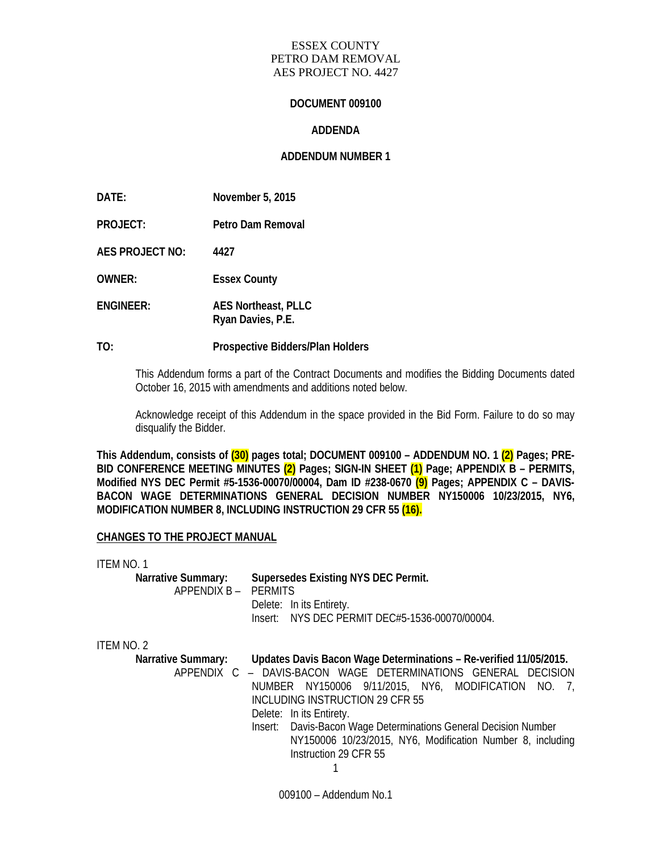#### ESSEX COUNTY PETRO DAM REMOVAL AES PROJECT NO. 4427

#### **DOCUMENT 009100**

#### **ADDENDA**

## **ADDENDUM NUMBER 1**

**DATE: November 5, 2015 PROJECT: Petro Dam Removal AES PROJECT NO: 4427 OWNER: Essex County ENGINEER: AES Northeast, PLLC Ryan Davies, P.E.** 

#### **TO: Prospective Bidders/Plan Holders**

This Addendum forms a part of the Contract Documents and modifies the Bidding Documents dated October 16, 2015 with amendments and additions noted below.

Acknowledge receipt of this Addendum in the space provided in the Bid Form. Failure to do so may disqualify the Bidder.

**This Addendum, consists of (30) pages total; DOCUMENT 009100 – ADDENDUM NO. 1 (2) Pages; PRE-BID CONFERENCE MEETING MINUTES (2) Pages; SIGN-IN SHEET (1) Page; APPENDIX B – PERMITS, Modified NYS DEC Permit #5-1536-00070/00004, Dam ID #238-0670 (9) Pages; APPENDIX C – DAVIS-BACON WAGE DETERMINATIONS GENERAL DECISION NUMBER NY150006 10/23/2015, NY6, MODIFICATION NUMBER 8, INCLUDING INSTRUCTION 29 CFR 55 (16).**

#### **CHANGES TO THE PROJECT MANUAL**

| ITEM NO. 1                |                                                                    |
|---------------------------|--------------------------------------------------------------------|
| <b>Narrative Summary:</b> | Supersedes Existing NYS DEC Permit.                                |
| APPENDIX B - PERMITS      |                                                                    |
|                           | Delete: In its Entirety.                                           |
|                           | Insert: NYS DEC PERMIT DEC#5-1536-00070/00004.                     |
|                           |                                                                    |
| ITEM NO. 2                |                                                                    |
| <b>Narrative Summary:</b> | Updates Davis Bacon Wage Determinations - Re-verified 11/05/2015.  |
|                           | APPENDIX C - DAVIS-BACON WAGE DETERMINATIONS GENERAL DECISION      |
|                           | NUMBER NY150006 9/11/2015, NY6, MODIFICATION NO. 7,                |
|                           | INCLUDING INSTRUCTION 29 CFR 55                                    |
|                           | Delete: In its Entirety.                                           |
|                           | Davis-Bacon Wage Determinations General Decision Number<br>Insert: |
|                           | NY150006 10/23/2015, NY6, Modification Number 8, including         |
|                           | Instruction 29 CFR 55                                              |
|                           |                                                                    |
|                           |                                                                    |

009100 – Addendum No.1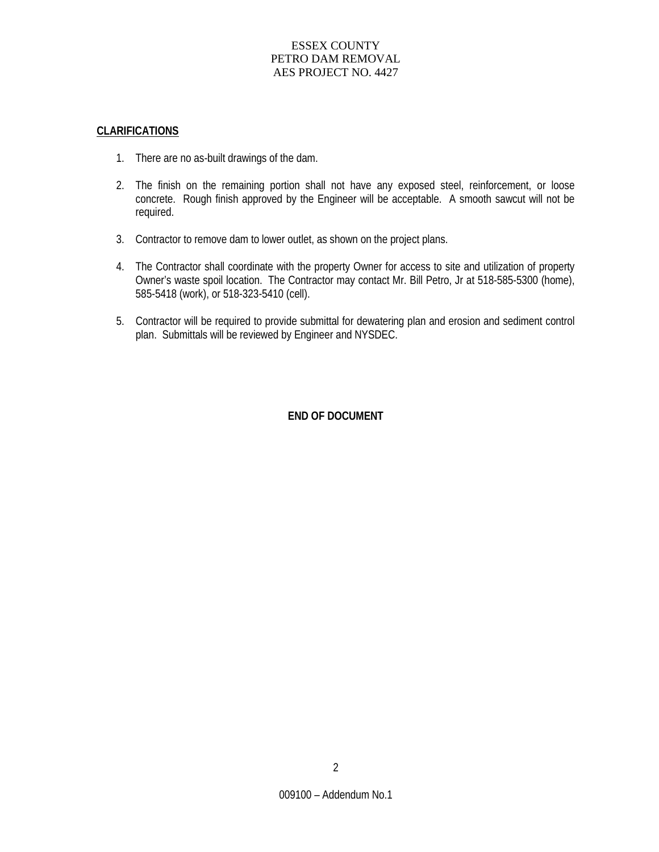## ESSEX COUNTY PETRO DAM REMOVAL AES PROJECT NO. 4427

#### **CLARIFICATIONS**

- 1. There are no as-built drawings of the dam.
- 2. The finish on the remaining portion shall not have any exposed steel, reinforcement, or loose concrete. Rough finish approved by the Engineer will be acceptable. A smooth sawcut will not be required.
- 3. Contractor to remove dam to lower outlet, as shown on the project plans.
- 4. The Contractor shall coordinate with the property Owner for access to site and utilization of property Owner's waste spoil location. The Contractor may contact Mr. Bill Petro, Jr at 518-585-5300 (home), 585-5418 (work), or 518-323-5410 (cell).
- 5. Contractor will be required to provide submittal for dewatering plan and erosion and sediment control plan. Submittals will be reviewed by Engineer and NYSDEC.

### **END OF DOCUMENT**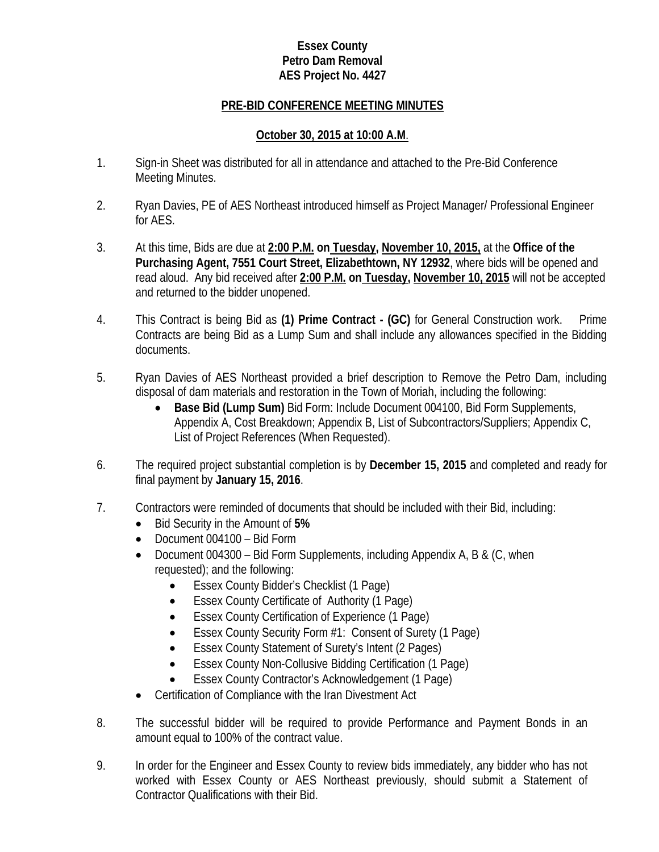## **Essex County Petro Dam Removal AES Project No. 4427**

## **PRE-BID CONFERENCE MEETING MINUTES**

## **October 30, 2015 at 10:00 A.M**.

- 1. Sign-in Sheet was distributed for all in attendance and attached to the Pre-Bid Conference Meeting Minutes.
- 2. Ryan Davies, PE of AES Northeast introduced himself as Project Manager/ Professional Engineer for AES.
- 3. At this time, Bids are due at **2:00 P.M. on Tuesday, November 10, 2015,** at the **Office of the Purchasing Agent, 7551 Court Street, Elizabethtown, NY 12932**, where bids will be opened and read aloud. Any bid received after **2:00 P.M. on Tuesday, November 10, 2015** will not be accepted and returned to the bidder unopened.
- 4. This Contract is being Bid as **(1) Prime Contract - (GC)** for General Construction work. Prime Contracts are being Bid as a Lump Sum and shall include any allowances specified in the Bidding documents.
- 5. Ryan Davies of AES Northeast provided a brief description to Remove the Petro Dam, including disposal of dam materials and restoration in the Town of Moriah, including the following:
	- **Base Bid (Lump Sum)** Bid Form: Include Document 004100, Bid Form Supplements, Appendix A, Cost Breakdown; Appendix B, List of Subcontractors/Suppliers; Appendix C, List of Project References (When Requested).
- 6. The required project substantial completion is by **December 15, 2015** and completed and ready for final payment by **January 15, 2016**.
- 7. Contractors were reminded of documents that should be included with their Bid, including:
	- Bid Security in the Amount of **5%**
	- Document 004100 Bid Form
	- Document 004300 Bid Form Supplements, including Appendix A, B & (C, when requested); and the following:
		- Essex County Bidder's Checklist (1 Page)
		- Essex County Certificate of Authority (1 Page)
		- Essex County Certification of Experience (1 Page)
		- Essex County Security Form #1: Consent of Surety (1 Page)
		- Essex County Statement of Surety's Intent (2 Pages)
		- Essex County Non-Collusive Bidding Certification (1 Page)
		- Essex County Contractor's Acknowledgement (1 Page)
	- Certification of Compliance with the Iran Divestment Act
- 8. The successful bidder will be required to provide Performance and Payment Bonds in an amount equal to 100% of the contract value.
- 9. In order for the Engineer and Essex County to review bids immediately, any bidder who has not worked with Essex County or AES Northeast previously, should submit a Statement of Contractor Qualifications with their Bid.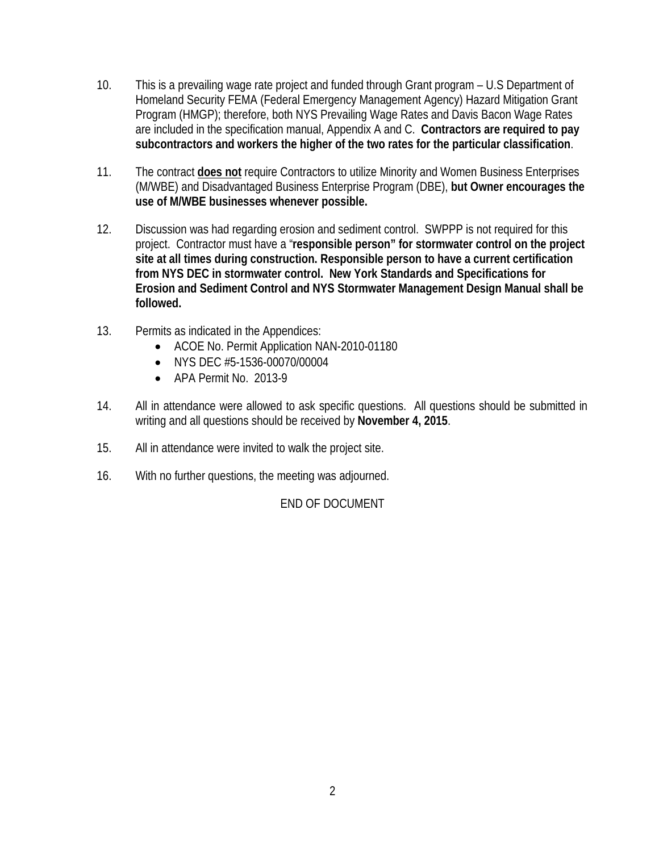- 10. This is a prevailing wage rate project and funded through Grant program U.S Department of Homeland Security FEMA (Federal Emergency Management Agency) Hazard Mitigation Grant Program (HMGP); therefore, both NYS Prevailing Wage Rates and Davis Bacon Wage Rates are included in the specification manual, Appendix A and C. **Contractors are required to pay subcontractors and workers the higher of the two rates for the particular classification**.
- 11. The contract **does not** require Contractors to utilize Minority and Women Business Enterprises (M/WBE) and Disadvantaged Business Enterprise Program (DBE), **but Owner encourages the use of M/WBE businesses whenever possible.**
- 12. Discussion was had regarding erosion and sediment control. SWPPP is not required for this project. Contractor must have a "**responsible person" for stormwater control on the project site at all times during construction. Responsible person to have a current certification from NYS DEC in stormwater control. New York Standards and Specifications for Erosion and Sediment Control and NYS Stormwater Management Design Manual shall be followed.**
- 13. Permits as indicated in the Appendices:
	- ACOE No. Permit Application NAN-2010-01180
	- NYS DEC #5-1536-00070/00004
	- APA Permit No. 2013-9
- 14. All in attendance were allowed to ask specific questions. All questions should be submitted in writing and all questions should be received by **November 4, 2015**.
- 15. All in attendance were invited to walk the project site.
- 16. With no further questions, the meeting was adjourned.

## END OF DOCUMENT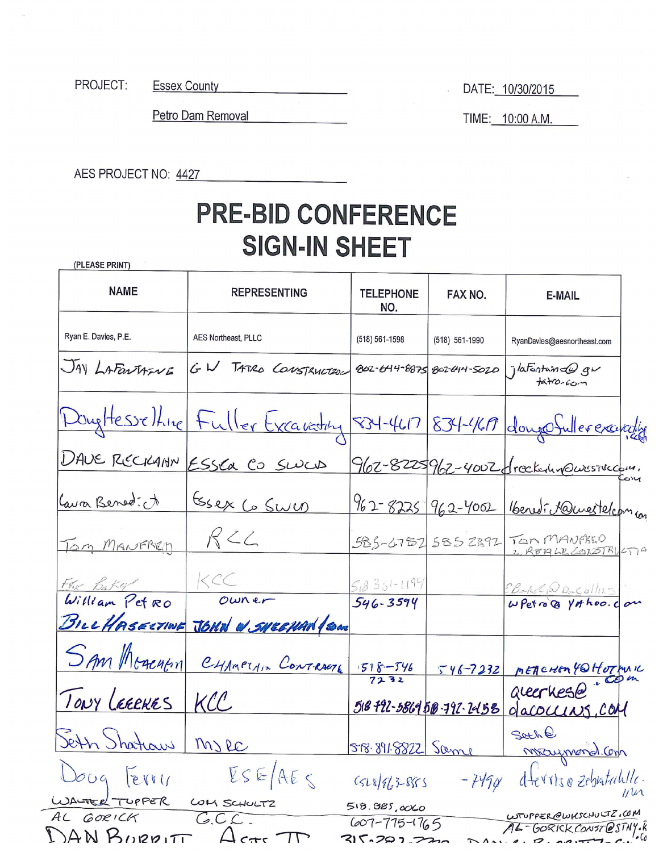Essex County<br>
<u>Essex</u> County PROJECT:

DATE: 10/30/2015

Petro Dam Removal

TIME: 10:00 A.M.

AES PROJECT NO: 4427

# **PRE-BID CONFERENCE SIGN-IN SHEET**

(PLEASE PRINT)

| <b>NAME</b>                              | <b>REPRESENTING</b>                                                    | <b>TELEPHONE</b><br>NO.                          | FAX NO.                  | E-MAIL                                                |
|------------------------------------------|------------------------------------------------------------------------|--------------------------------------------------|--------------------------|-------------------------------------------------------|
| Ryan E. Davies, P.E.                     | AES Northeast, PLLC                                                    | $(518) 561 - 1598$                               | (518) 561-1990           | RyanDavies@aesnortheast.com                           |
| JAY LAFarTAFINE                          | GW TATRO CONSTRUCTION                                                  |                                                  |                          | 802-644-8875 802-644-5020   jlafontuinde giv<br>t     |
|                                          | DugHesselting Fuller Excavating 534-4617 834-4617 dougeSullerexancelig |                                                  |                          |                                                       |
|                                          | DAVE RECKANN ESSEA CO SWED                                             |                                                  |                          | 962-8225962-4002 dreck-unewestriccom.                 |
| Lava Bened: A                            | Essex Co Swee                                                          |                                                  |                          | 962-8225 962-4002 Benedi rawestelcom                  |
| Tom MANFRED                              | $R$ $22$                                                               |                                                  |                          | 585-6782 585 2892 TON MANARED<br>2 REALE CONSTRUCTION |
| FRX Bakal                                | KCC                                                                    | $518351-1194$                                    |                          | EBake @ Daculling in                                  |
| William Petro<br>BILLHASECTINE           | owner<br>JOHN W SHEEHAN (SOM                                           | 546-3594                                         |                          |                                                       |
| Sam Mogentin                             | CHAMPTAIN CONTRACTE                                                    | $\frac{1518 - 546}{7232}$                        | $546 - 7232$             |                                                       |
| TONY LEEEKES                             | KCC                                                                    |                                                  | 518 722-5864 58-792-2458 | MEACHER YOHOTHIK<br>dacoccins, COM                    |
| Seth Shataw   Myre                       |                                                                        | 518.891.8822 Same                                |                          | Soche<br>maymond.Com                                  |
| erry<br>$\Omega$                         | ESE/AES                                                                | $6528/963-8855$                                  | $-7490$                  | dterrise zebestalille.<br>11                          |
| WALTER TUPPER<br>AL GORICK<br>DAN BURDIT | LOM SCHULTZ<br>C.C.                                                    | 518.985,0060<br>$607 - 775 - 1765$<br>215.707.72 |                          | WITUPPER@WKSCHULTZ, COM<br>AL-GORICK CONST@STNY.K     |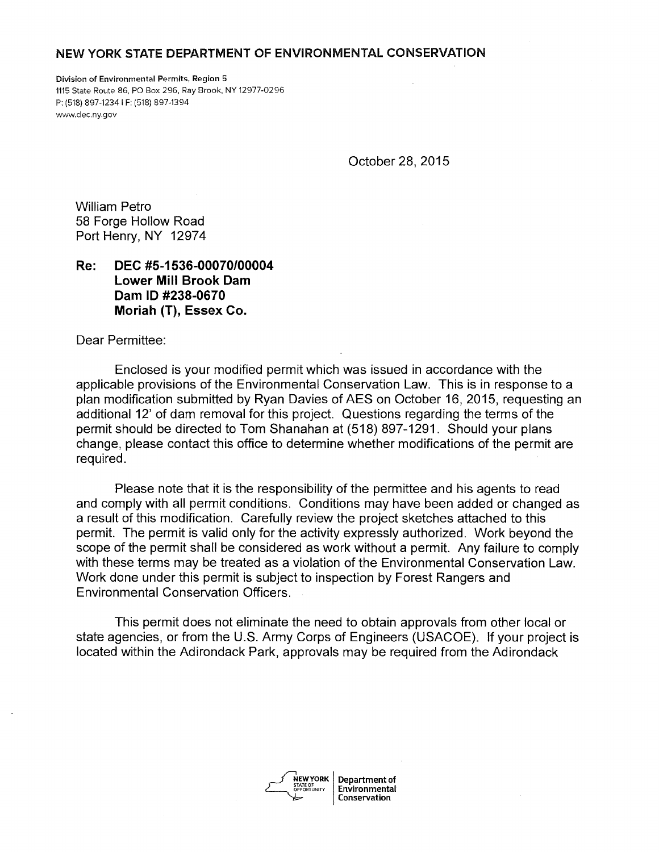#### NEW YORK STATE DEPARTMENT OF ENVIRONMENTAL CONSERVATION

Division of Environmental Permits, Region 5 1115 State Route 86, PO Box 296, Ray Brook, NY 12977-0296 P: (518) 897-12341 F: (518) 897-1394 www.dec.ny.gov

October 28, 2015

William Petro 58 Forge Hollow Road Port Henry, NY 12974

**Re: DEC #5-1536-00070/00004 Lower Mill Brook Dam Dam ID #238-0670 Moriah (T), Essex Co.** 

Dear Permittee:

Enclosed is your modified permit which was issued in accordance with the applicable provisions of the Environmental Conservation Law. This is in response to a plan modification submitted by Ryan Davies of AES on October 16, 2015, requesting an additional 12' of dam removal for this project. Questions regarding the terms of the permit should be directed to Tom Shanahan at (518) 897-1291. Should your plans change, please contact this office to determine whether modifications of the permit are required.

Please note that it is the responsibility of the permittee and his agents to read and comply with all permit conditions. Conditions may have been added or changed as a result of this modification. Carefully review the project sketches attached to this permit. The permit is valid only for the activity expressly authorized. Work beyond the scope of the permit shall be considered as work without a permit. Any failure to comply with these terms may be treated as a violation of the Environmental Conservation Law. Work done under this permit is subject to inspection by Forest Rangers and Environmental Conservation Officers.

This permit does not eliminate the need to obtain approvals from other local or state agencies, or from the U.S. Army Corps of Engineers (USACOE). If your project is located within the Adirondack Park, approvals may be required from the Adirondack

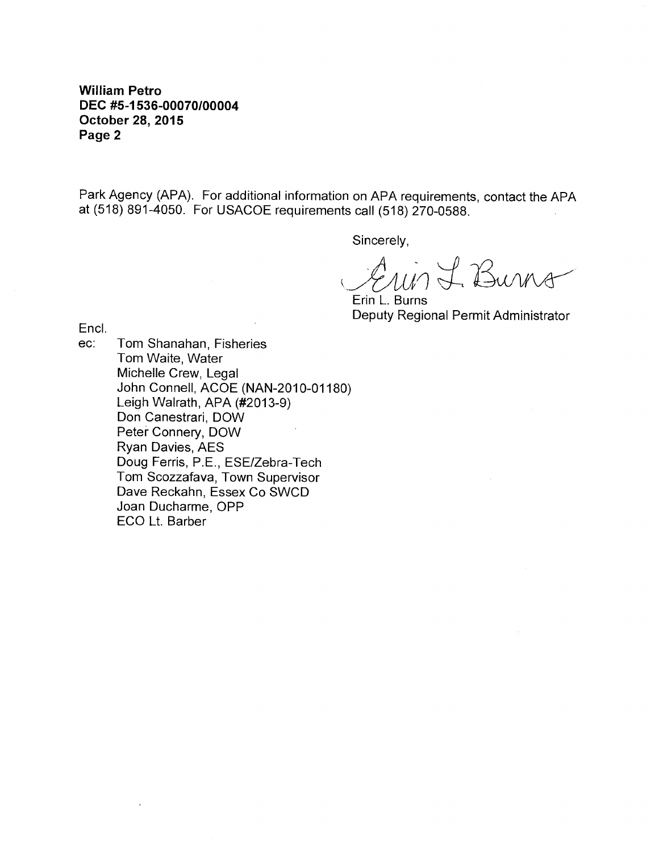**William Petro DEC #5-1536-00070/00004 October 28, 2015 Page 2** 

Park Agency (APA). For additional information on APA requirements, contact the APA at (518) 891-4050. For USACOE requirements call (518) 270-0588.

Sincerely,

 $\mathcal{A}_{\mathcal{U}}$  of Burns

Erin L. Burns Deputy Regional Permit Administrator

Encl.<br>ec:

Tom Shanahan, Fisheries Tom Waite, Water Michelle Crew, Legal John Connell, ACOE (NAN-2010-01180) Leigh Walrath, APA (#2013-9) Don Canestrari, DOW Peter Connery, DOW Ryan Davies, AES Doug Ferris, P.E., ESE/Zebra-Tech Tom Scozzafava, Town Supervisor Dave Reckahn, Essex Co SWCD Joan Ducharme, OPP ECO Lt. Barber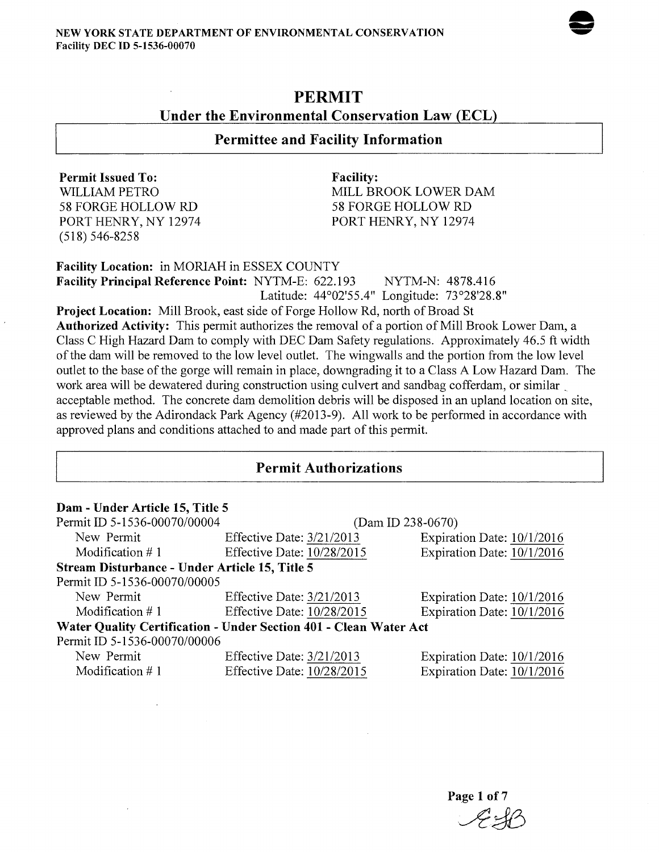

# PERMIT Under the Environmental Conservation Law (ECL)

# Permittee and Facility Information

Permit Issued To: WILLIAM PETRO 58 FORGE HOLLOW RD PORT HENRY, NY 12974 (518) 546-8258

Facility: MILL BROOK LOWER DAM 58 FORGE HOLLOW RD PORT HENRY, NY 12974

Facility Location: in MORIAH in ESSEX COUNTY

Facility Principal Reference Point: NYTM-E: 622.193 NYTM-N: 4878.416 Latitude: 44°02'55.4" Longitude: 73°28'28.8"

Project Location: Mill Brook, east side of Forge Hollow Rd, north of Broad St

Authorized Activity: This permit authorizes the removal of a portion of Mill Brook Lower Dam, a Class C High Hazard Dam to comply with DEC Dam Safety regulations. Approximately 46.5 ft width of the dam will be removed to the low level outlet. The wingwalls and the portion from the low level outlet to the base of the gorge will remain in place, downgrading it to a Class A Low Hazard Dam. The work area will be dewatered during construction using culvert and sandbag cofferdam, or similar acceptable method. The concrete dam demolition debris will be disposed in an upland location on site, as reviewed by the Adirondack Park Agency (#2013-9). All work to be performed in accordance with approved plans and conditions attached to and made part of this permit.

## Permit Authorizations

| Dam - Under Article 15, Title 5                                   |                            |                            |  |  |
|-------------------------------------------------------------------|----------------------------|----------------------------|--|--|
| Permit ID 5-1536-00070/00004                                      | $(Dam ID 238-0670)$        |                            |  |  |
| New Permit                                                        | Effective Date: 3/21/2013  | Expiration Date: 10/1/2016 |  |  |
| Modification $\#$ 1                                               | Effective Date: 10/28/2015 | Expiration Date: 10/1/2016 |  |  |
| Stream Disturbance - Under Article 15, Title 5                    |                            |                            |  |  |
| Permit ID 5-1536-00070/00005                                      |                            |                            |  |  |
| New Permit                                                        | Effective Date: 3/21/2013  | Expiration Date: 10/1/2016 |  |  |
| Modification $# 1$                                                | Effective Date: 10/28/2015 | Expiration Date: 10/1/2016 |  |  |
| Water Quality Certification - Under Section 401 - Clean Water Act |                            |                            |  |  |
| Permit ID 5-1536-00070/00006                                      |                            |                            |  |  |
| New Permit                                                        | Effective Date: 3/21/2013  | Expiration Date: 10/1/2016 |  |  |
| Modification $#1$                                                 | Effective Date: 10/28/2015 | Expiration Date: 10/1/2016 |  |  |

Page 1 of 7 *Ada*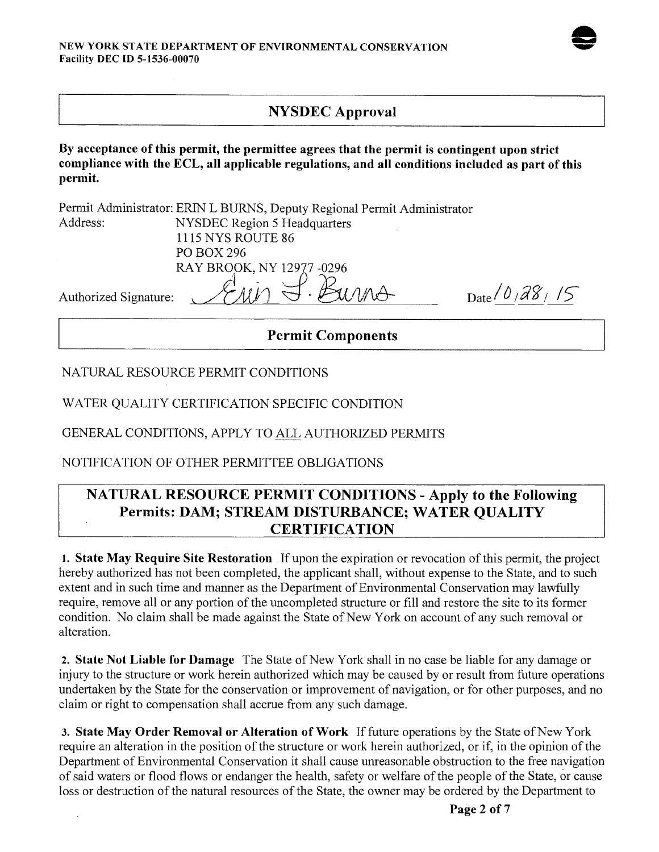# NYSDEC Approval

By acceptance of this permit, the permittee agrees that the permit is contingent upon strict compliance with the ECL, all applicable regulations, and all conditions included as part of this permit.

|                       | <b>Permit Components</b>                                                 |                                      |
|-----------------------|--------------------------------------------------------------------------|--------------------------------------|
| Authorized Signature: |                                                                          | Date $\frac{\partial}{\partial s^2}$ |
|                       | RAY BROOK, NY 12977-0296                                                 |                                      |
|                       | PO BOX 296                                                               |                                      |
|                       | <b>1115 NYS ROUTE 86</b>                                                 |                                      |
| Address:              | NYSDEC Region 5 Headquarters                                             |                                      |
|                       | Permit Administrator: ERIN L BURNS, Deputy Regional Permit Administrator |                                      |

NATURAL RESOURCE PERMIT CONDITIONS

WATER QUALITY CERTIFICATION SPECIFIC CONDITION

GENERAL CONDITIONS, APPLY TO ALL AUTHORIZED PERMITS

NOTIFICATION OF OTHER PERMITTEE OBLIGATIONS

# NATURAL RESOURCE PERMIT CONDITIONS - Apply to the Following Permits: DAM; STREAM DISTURBANCE; WATER QUALITY **CERTIFICATION**

1. State May Require Site Restoration If upon the expiration or revocation of this permit, the project hereby authorized has not been completed, the applicant shall, without expense to the State, and to such extent and in such time and manner as the Department of Environmental Conservation may lawfully require, remove all or any portion of the uncompleted structure or fill and restore the site to its former condition. No claim shall be made against the State of New York on account of any such removal or alteration.

2. State Not Liable for Damage The State of New York shall in no case be liable for any damage or injury to the structure or work herein authorized which may be caused by or result from future operations undertaken by the State for the conservation or improvement of navigation, or for other purposes, and no claim or right to compensation shall accrue from any such damage.

3. State May Order Removal or Alteration of Work If future operations by the State of New York require an alteration in the position of the structure or work herein authorized, or if, in the opinion of the Department of Environmental Conservation it shall cause unreasonable obstruction to the free navigation of said waters or flood flows or endanger the health, safety or welfare of the people of the State, or cause loss or destruction of the natural resources of the State, the owner may be ordered by the Department to

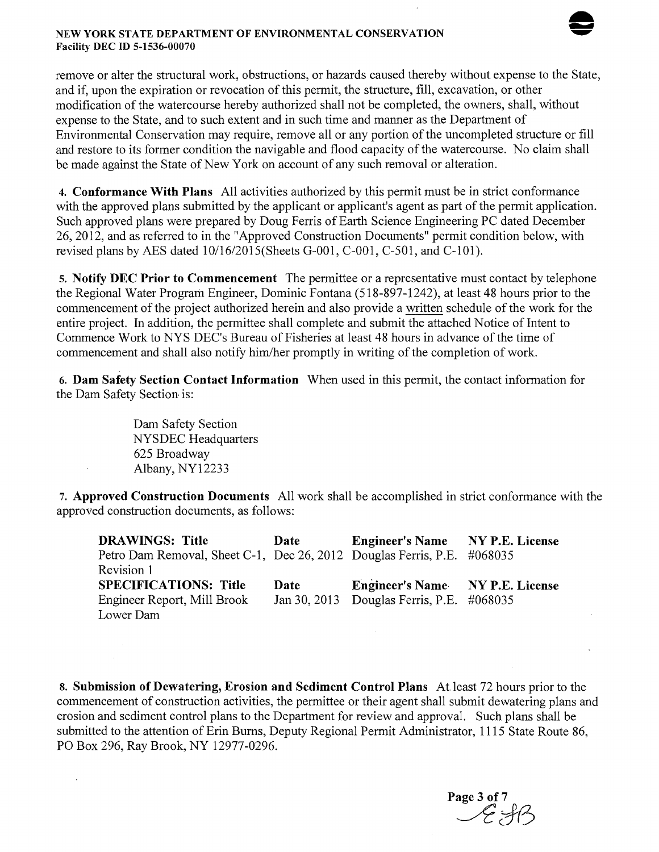#### NEW YORK STATE DEPARTMENT OF ENVIRONMENTAL CONSERVATION Facility DEC ID 5-1536-00070



remove or alter the structural work, obstructions, or hazards caused thereby without expense to the State, and if, upon the expiration or revocation of this permit, the structure, fill, excavation, or other modification of the watercourse hereby authorized shall not be completed, the owners, shall, without expense to the State, and to such extent and in such time and manner as the Department of Environmental Conservation may require, remove all or any portion of the uncompleted structure or fill and restore to its former condition the navigable and flood capacity of the watercourse. No claim shall be made against the State of New York on account of any such removal or alteration.

4. Conformance With Plans All activities authorized by this permit must be in strict conformance with the approved plans submitted by the applicant or applicant's agent as part of the permit application. Such approved plans were prepared by Doug Ferris of Earth Science Engineering PC dated December 26, 2012, and as referred to in the "Approved Construction Documents" permit condition below, with revised plans by AES dated  $10/16/2015$  (Sheets G-001, C-001, C-501, and C-101).

5. Notify DEC Prior to Commencement The permittee or a representative must contact by telephone the Regional Water Program Engineer, Dominic Fontana (518-897-1242), at least 48 hours prior to the commencement of the project authorized herein and also provide a written schedule of the work for the entire project. In addition, the permittee shall complete and submit the attached Notice of Intent to Commence Work to NYS DEC's Bureau of Fisheries at least 48 hours in advance of the time of commencement and shall also notify him/her promptly in writing of the completion of work.

6. Dam Safety Section Contact Information When used in this permit, the contact information for the Dam Safety Section is:

> Dam Safety Section NYSDEC Headquarters 625 Broadway Albany, NY12233

7. Approved Construction Documents All work shall be accomplished in strict conformance with the approved construction documents, as follows:

| <b>DRAWINGS: Title</b>                                                  | Date | Engineer's Name NY P.E. License           |  |
|-------------------------------------------------------------------------|------|-------------------------------------------|--|
| Petro Dam Removal, Sheet C-1, Dec 26, 2012 Douglas Ferris, P.E. #068035 |      |                                           |  |
| Revision 1                                                              |      |                                           |  |
| <b>SPECIFICATIONS: Title</b>                                            | Date | Engineer's Name NY P.E. License           |  |
| Engineer Report, Mill Brook                                             |      | Jan 30, 2013 Douglas Ferris, P.E. #068035 |  |
| Lower Dam                                                               |      |                                           |  |

8. Submission of Dewatering, Erosion and Sediment Control Plans At least 72 hours prior to the commencement of construction activities, the perrnittee or their agent shall submit dewatering plans and erosion and sediment control plans to the Department for review and approval. Such plans shall be submitted to the attention of Erin Burns, Deputy Regional Permit Administrator, 1115 State Route 86, PO Box 296, Ray Brook, NY 12977-0296.

Page 3 of 7<br>  $\mathscr{L}$   $\mathscr{H}$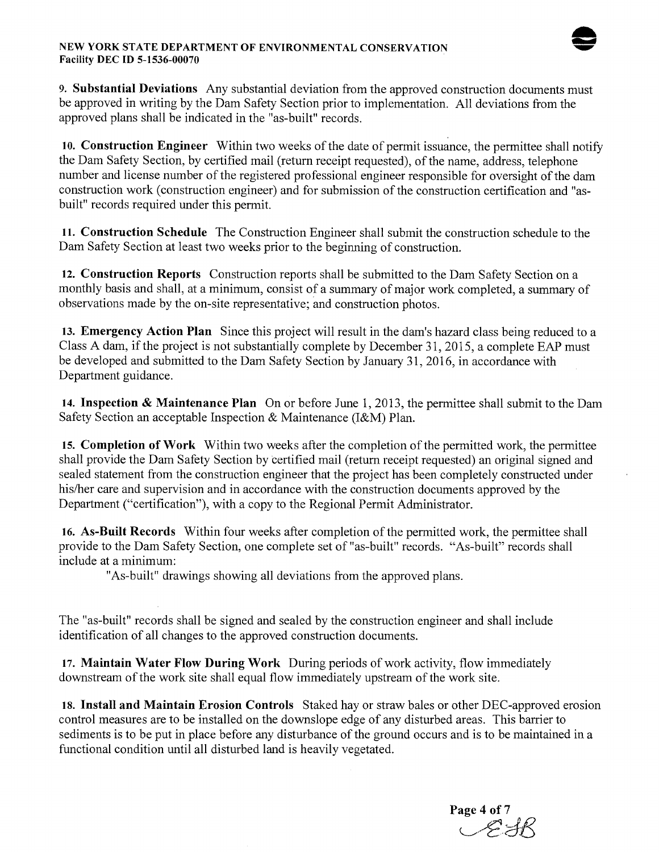#### NEW YORK STATE DEPARTMENT OF ENVIRONMENTAL CONSERVATION Facility DEC ID 5-1536-00070



9. Substantial Deviations Any substantial deviation from the approved construction documents must be approved in writing by the Dam Safety Section prior to implementation. All deviations from the approved plans shall be indicated in the "as-built" records.

10. Construction Engineer Within two weeks of the date of permit issuance, the permittee shall notify the Dam Safety Section, by certified mail (return receipt requested), of the name, address, telephone number and license number of the registered professional engineer responsible for oversight of the dam construction work (construction engineer) and for submission of the construction certification and "asbuilt" records required under this permit.

11. Construction Schedule The Construction Engineer shall submit the construction schedule to the Dam Safety Section at least two weeks prior to the beginning of construction.

12. Construction Reports Construction reports shall be submitted to the Dam Safety Section on a monthly basis and shall, at a minimum, consist of a summary of major work completed, a summary of observations made by the on-site representative; and construction photos.

13. Emergency Action Plan Since this project will result in the dam's hazard class being reduced to a Class A dam, if the project is not substantially complete by December 31, 2015, a complete EAP must be developed and submitted to the Dam Safety Section by January 31, 2016, in accordance with Department guidance.

14. Inspection & Maintenance Plan On or before June 1, 2013, the permittee shall submit to the Dam Safety Section an acceptable Inspection & Maintenance (I&M) Plan.

15. Completion of Work Within two weeks after the completion of the permitted work, the permittee shall provide the Dam Safety Section by certified mail (return receipt requested) an original signed and sealed statement from the construction engineer that the project has been completely constructed under his/her care and supervision and in accordance with the construction documents approved by the Department ("certification"), with a copy to the Regional Permit Administrator.

16. As-Built Records Within four weeks after completion of the permitted work, the permittee shall provide to the Dam Safety Section, one complete set of "as-built" records. "As-built" records shall include at a minimum:

"As-built" drawings showing all deviations from the approved plans.

The "as-built" records shall be signed and sealed by the construction engineer and shall include identification of all changes to the approved construction documents.

17. Maintain Water Flow During Work During periods of work activity, flow immediately downstream of the work site shall equal flow immediately upstream of the work site.

18. Install and Maintain Erosion Controls Staked hay or straw bales or other DEC-approved erosion control measures are to be installed on the downslope edge of any disturbed areas. This barrier to sediments is to be put in place before any disturbance of the ground occurs and is to be maintained in a functional condition until all disturbed land is heavily vegetated.

Page 4 of 7<br> $\mathscr{L}$  f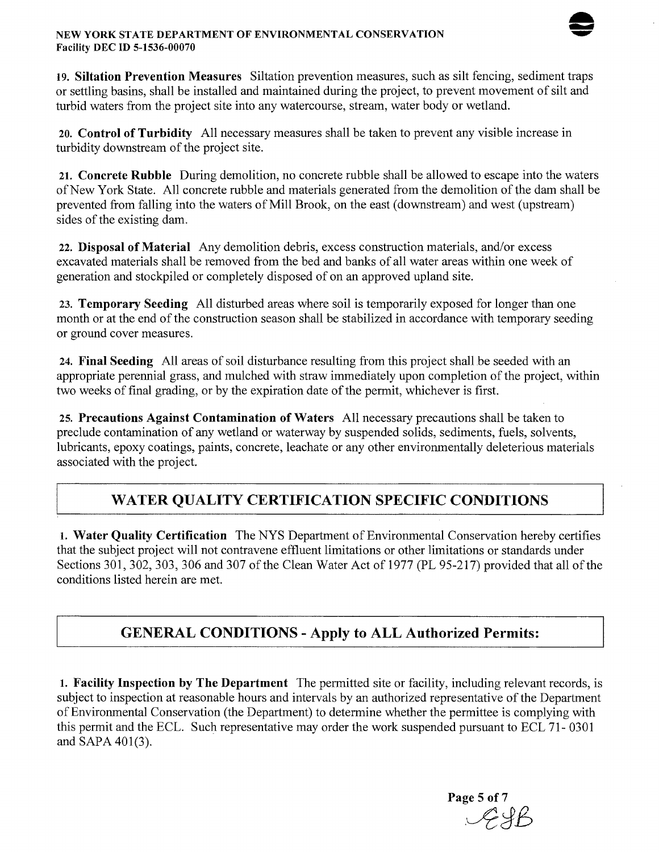#### NEW YORK STATE DEPARTMENT OF ENVIRONMENTAL CONSERVATION Facility DEC ID 5-1536-00070



19. Siltation Prevention Measures Siltation prevention measures, such as silt fencing, sediment traps or settling basins, shall be installed and maintained during the project, to prevent movement of silt and turbid waters from the project site into any watercourse, stream, water body or wetland.

20. Control of Turbidity All necessary measures shall be taken to prevent any visible increase in turbidity downstream of the project site.

21. Concrete Rubble During demolition, no concrete rubble shall be allowed to escape into the waters of New York State. All concrete rubble and materials generated from the demolition of the dam shall be prevented from falling into the waters of Mill Brook, on the east (downstream) and west (upstream) sides of the existing dam.

22. Disposal of Material Any demolition debris, excess construction materials, and/or excess excavated materials shall be removed from the bed and banks of all water areas within one week of generation and stockpiled or completely disposed of on an approved upland site.

23. Temporary Seeding All disturbed areas where soil is temporarily exposed for longer than one month or at the end of the construction season shall be stabilized in accordance with temporary seeding or ground cover measures.

24. Final Seeding All areas of soil disturbance resulting from this project shall be seeded with an appropriate perennial grass, and mulched with straw immediately upon completion of the project, within two weeks of final grading, or by the expiration date of the permit, whichever is first.

25. Precautions Against Contamination of Waters All necessary precautions shall be taken to preclude contamination of any wetland or waterway by suspended solids, sediments, fuels, solvents, lubricants, epoxy coatings, paints, concrete, leachate or any other environmentally deleterious materials associated with the project.

# WATER QUALITY CERTIFICATION SPECIFIC CONDITIONS

I. Water Quality Certification The NYS Department of Environmental Conservation hereby certifies that the subject project will not contravene effluent limitations or other limitations or standards under Sections 301, 302, 303, 306 and 307 of the Clean Water Act of 1977 (PL 95-217) provided that all of the conditions listed herein are met.

# GENERAL CONDITIONS - Apply to ALL Authorized Permits:

1. Facility Inspection by The Department The permitted site or facility, including relevant records, is subject to inspection at reasonable hours and intervals by an authorized representative of the Department of Environmental Conservation (the Department) to determine whether the permittee is complying with this permit and the ECL. Such representative may order the work suspended pursuant to ECL 71- 0301 and SAPA 401(3).

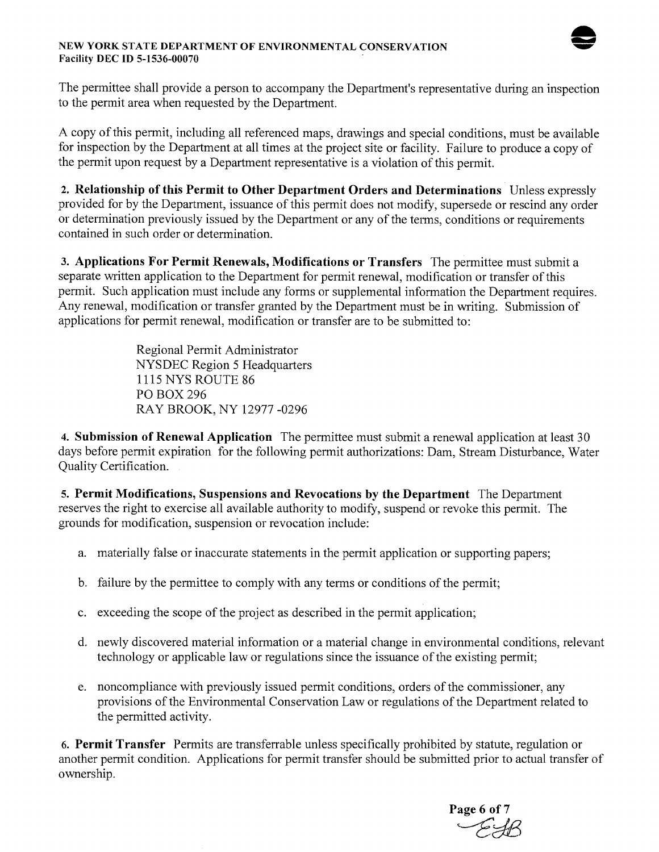

#### NEW YORK STATE DEPARTMENT OF ENVIRONMENTAL CONSERVATION Facility DEC ID 5-1536-00070

The permittee shall provide a person to accompany the Department's representative during an inspection to the permit area when requested by the Department.

A copy of this permit, including all referenced maps, drawings and special conditions, must be available for inspection by the Department at all times at the project site or facility. Failure to produce a copy of the permit upon request by a Department representative is a violation of this permit.

2. Relationship of this Permit to Other Department Orders and Determinations Unless expressly provided for by the Department, issuance of this permit does not modify, supersede or rescind any order or determination previously issued by the Department or any of the terms, conditions or requirements contained in such order or determination.

3. Applications For Permit Renewals, Modifications or Transfers The permittee must submit a separate written application to the Department for permit renewal, modification or transfer of this permit. Such application must include any forms or supplemental information the Department requires. Any renewal, modification or transfer granted by the Department must be in writing. Submission of applications for permit renewal, modification or transfer are to be submitted to:

> Regional Permit Administrator NYSDEC Region 5 Headquarters 1115 NYS ROUTE 86 POBOX296 RAY BROOK, NY 12977 -0296

4. Submission of Renewal Application The permittee must submit a renewal application at least 30 days before permit expiration for the following permit authorizations: Dam, Stream Disturbance, Water Quality Certification.

5. Permit Modifications, Suspensions and Revocations by the Department The Department reserves the right to exercise all available authority to modify, suspend or revoke this permit. The grounds for modification, suspension or revocation include:

- a. materially false or inaccurate statements in the permit application or supporting papers;
- b. failure by the permittee to comply with any terms or conditions of the permit;
- c. exceeding the scope of the project as described in the permit application;
- d. newly discovered material information or a material change in environmental conditions, relevant technology or applicable law or regulations since the issuance of the existing permit;
- e. noncompliance with previously issued permit conditions, orders of the commissioner, any provisions of the Environmental Conservation Law or regulations of the Department related to the permitted activity.

6. Permit Transfer Permits are transferrable unless specifically prohibited by statute, regulation or another permit condition. Applications for permit transfer should be submitted prior to actual transfer of ownership.

Page 6 of  $7$  $\sim$  FR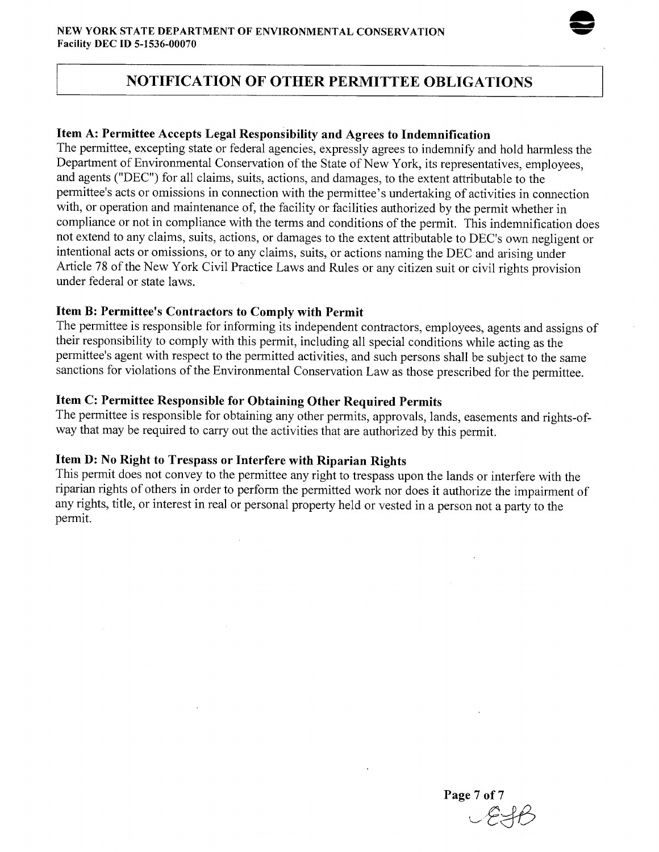

# **NOTIFICATION OF OTHER PERMITTEE OBLIGATIONS**

## **Item A: Permittee Accepts Legal Responsibility and Agrees to Indemnification**

The permittee, excepting state or federal agencies, expressly agrees to indemnify and hold harmless the Department of Environmental Conservation of the State of New York, its representatives, employees, and agents ("DEC") for all claims, suits, actions, and damages, to the extent attributable to the permittee's acts or omissions in connection with the permittee's undertaking of activities in connection with, or operation and maintenance of, the facility or facilities authorized by the permit whether in compliance or not in compliance with the terms and conditions of the permit. This indemnification does not extend to any claims, suits, actions, or damages to the extent attributable to DEC's own negligent or intentional acts or omissions, or to any claims, suits, or actions naming the DEC and arising under Article 78 of the New York Civil Practice Laws and Rules or any citizen suit or civil rights provision under federal or state laws.

## **Item B: Permittee's Contractors to Comply with Permit**

The permittee is responsible for informing its independent contractors, employees, agents and assigns of their responsibility to comply with this permit, including all special conditions while acting as the permittee's agent with respect to the permitted activities, and such persons shall be subject to the same sanctions for violations of the Environmental Conservation Law as those prescribed for the permittee.

## **Item C: Permittee Responsible for Obtaining Other Required Permits**

The permittee is responsible for obtaining any other permits, approvals, lands, easements and rights-ofway that may be required to carry out the activities that are authorized by this permit.

# **Item D: No Right to Trespass or Interfere with Riparian Rights**

This permit does not convey to the permittee any right to trespass upon the lands or interfere with the riparian rights of others in order to perform the permitted work nor does it authorize the impairment of any rights, title, or interest in real or personal property held or vested in a person not a party to the permit.

**Page 7of7**   $\sim$ e $\approx$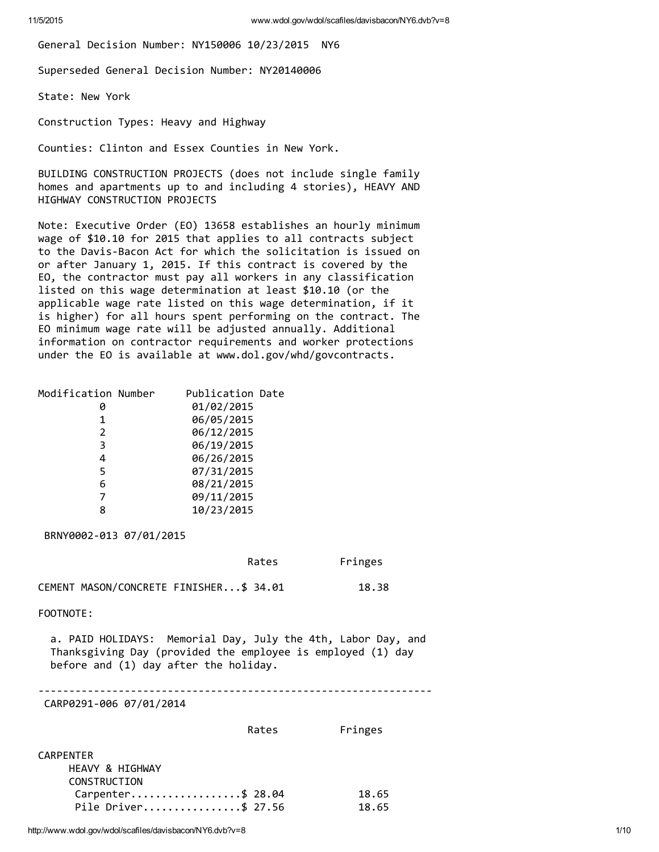General Decision Number: NY150006 10/23/2015 NY6

Superseded General Decision Number: NY20140006

State: New York

Construction Types: Heavy and Highway

Counties: Clinton and Essex Counties in New York.

BUILDING CONSTRUCTION PROJECTS (does not include single family homes and apartments up to and including 4 stories), HEAVY AND HIGHWAY CONSTRUCTION PROJECTS

Note: Executive Order (EO) 13658 establishes an hourly minimum wage of \$10.10 for 2015 that applies to all contracts subject to the Davis‐Bacon Act for which the solicitation is issued on or after January 1, 2015. If this contract is covered by the EO, the contractor must pay all workers in any classification listed on this wage determination at least \$10.10 (or the applicable wage rate listed on this wage determination, if it is higher) for all hours spent performing on the contract. The EO minimum wage rate will be adjusted annually. Additional information on contractor requirements and worker protections under the EO is available at www.dol.gov/whd/govcontracts.

| Modification Number | Publication Date |
|---------------------|------------------|
| Ø                   | 01/02/2015       |
| 1                   | 06/05/2015       |
| 2                   | 06/12/2015       |
| 3                   | 06/19/2015       |
| 4                   | 06/26/2015       |
| 5                   | 07/31/2015       |
| 6                   | 08/21/2015       |
|                     | 09/11/2015       |
| 8                   | 10/23/2015       |

BRNY0002‐013 07/01/2015

| Rates | Fringes |
|-------|---------|
|-------|---------|

CEMENT MASON/CONCRETE FINISHER...\$ 34.01 18.38

FOOTNOTE:

a. PAID HOLIDAYS: Memorial Day, July the 4th, Labor Day, and Thanksgiving Day (provided the employee is employed (1) day before and (1) day after the holiday.

‐‐‐‐‐‐‐‐‐‐‐‐‐‐‐‐‐‐‐‐‐‐‐‐‐‐‐‐‐‐‐‐‐‐‐‐‐‐‐‐‐‐‐‐‐‐‐‐‐‐‐‐‐‐‐‐‐‐‐‐‐‐‐‐

CARP0291‐006 07/01/2014

Rates Fringes

| CARPENTER           |       |
|---------------------|-------|
| HEAVY & HIGHWAY     |       |
| CONSTRUCTION        |       |
| Carpenter\$ 28.04   | 18.65 |
| Pile Driver\$ 27.56 | 18.65 |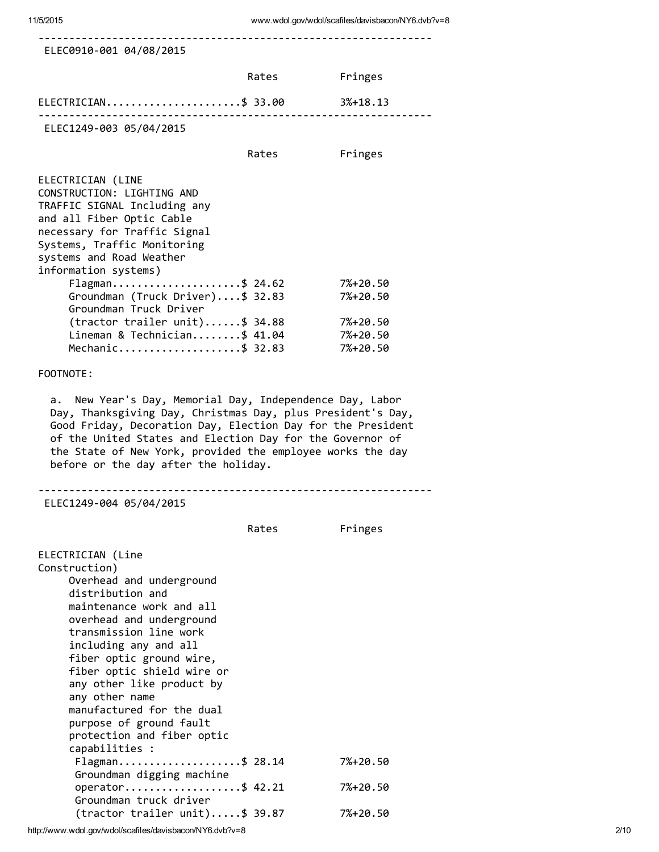| ELEC0910-001 04/08/2015                                                                                                                                                                                                                                                                                                                                                                                                                                                            |       |                                  |
|------------------------------------------------------------------------------------------------------------------------------------------------------------------------------------------------------------------------------------------------------------------------------------------------------------------------------------------------------------------------------------------------------------------------------------------------------------------------------------|-------|----------------------------------|
|                                                                                                                                                                                                                                                                                                                                                                                                                                                                                    | Rates | Fringes                          |
| ELECTRICIAN\$ 33.00<br>----------------------------                                                                                                                                                                                                                                                                                                                                                                                                                                |       | 3%+18.13                         |
| ELEC1249-003 05/04/2015                                                                                                                                                                                                                                                                                                                                                                                                                                                            |       |                                  |
|                                                                                                                                                                                                                                                                                                                                                                                                                                                                                    | Rates | Fringes                          |
| ELECTRICIAN (LINE<br>CONSTRUCTION: LIGHTING AND<br>TRAFFIC SIGNAL Including any<br>and all Fiber Optic Cable<br>necessary for Traffic Signal<br>Systems, Traffic Monitoring<br>systems and Road Weather<br>information systems)<br>Flagman\$ 24.62                                                                                                                                                                                                                                 |       | 7%+20.50                         |
| Groundman (Truck Driver)\$ 32.83<br>Groundman Truck Driver                                                                                                                                                                                                                                                                                                                                                                                                                         |       | 7%+20.50                         |
| (tractor trailer unit)\$ 34.88<br>Lineman & Technician\$ 41.04<br>Mechanic\$ 32.83                                                                                                                                                                                                                                                                                                                                                                                                 |       | 7%+20.50<br>7%+20.50<br>7%+20.50 |
| FOOTNOTE:                                                                                                                                                                                                                                                                                                                                                                                                                                                                          |       |                                  |
| of the United States and Election Day for the Governor of<br>the State of New York, provided the employee works the day<br>before or the day after the holiday.<br>ELEC1249-004 05/04/2015                                                                                                                                                                                                                                                                                         |       |                                  |
|                                                                                                                                                                                                                                                                                                                                                                                                                                                                                    | Rates | Fringes                          |
| ELECTRICIAN (Line<br>Construction)<br>Overhead and underground<br>distribution and<br>maintenance work and all<br>overhead and underground<br>transmission line work<br>including any and all<br>fiber optic ground wire,<br>fiber optic shield wire or<br>any other like product by<br>any other name<br>manufactured for the dual<br>purpose of ground fault<br>protection and fiber optic<br>capabilities :<br>Flagman\$ 28.14<br>Groundman digging machine<br>operator\$ 42.21 |       | 7%+20.50<br>7%+20.50             |
| Groundman truck driver                                                                                                                                                                                                                                                                                                                                                                                                                                                             |       |                                  |
| (tractor trailer unit)\$ 39.87                                                                                                                                                                                                                                                                                                                                                                                                                                                     |       | 7%+20.50                         |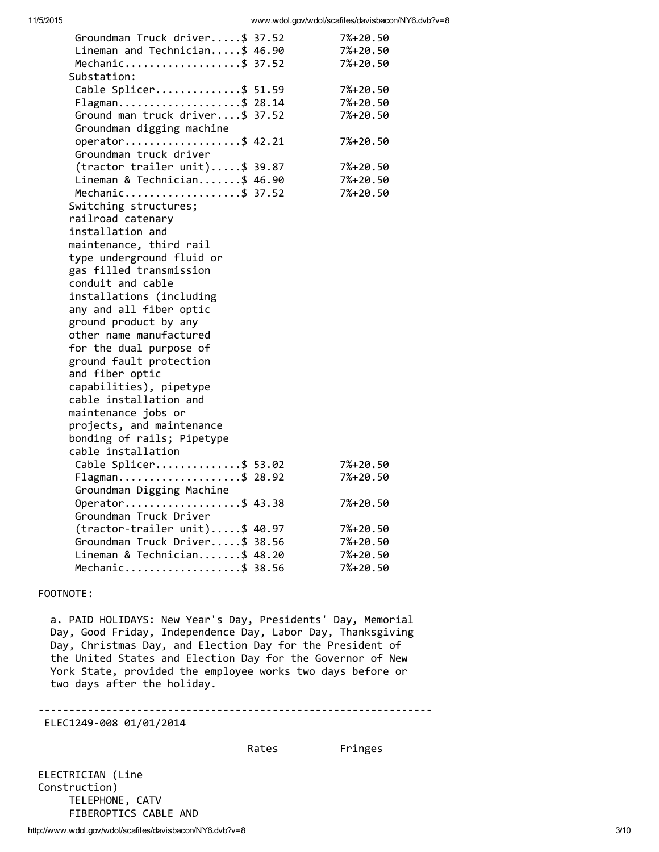| Groundman Truck driver\$ 37.52                 | 7%+20.50 |
|------------------------------------------------|----------|
| Lineman and Technician\$ 46.90                 | 7%+20.50 |
| Mechanic\$ 37.52                               | 7%+20.50 |
| Substation:                                    |          |
| Cable Splicer\$ 51.59                          | 7%+20.50 |
| Flagman\$ 28.14                                | 7%+20.50 |
| Ground man truck driver\$ 37.52                | 7%+20.50 |
| Groundman digging machine                      |          |
| operator\$ 42.21                               | 7%+20.50 |
| Groundman truck driver                         |          |
| $($ tractor trailer unit $)$ \$ 39.87          | 7%+20.50 |
| Lineman & Technician\$ 46.90                   | 7%+20.50 |
| Mechanic\$ 37.52                               | 7%+20.50 |
| Switching structures;                          |          |
| railroad catenary                              |          |
| installation and                               |          |
| maintenance, third rail                        |          |
| type underground fluid or                      |          |
| gas filled transmission                        |          |
| conduit and cable                              |          |
| installations (including                       |          |
| any and all fiber optic                        |          |
| ground product by any                          |          |
| other name manufactured                        |          |
| for the dual purpose of                        |          |
| ground fault protection                        |          |
| and fiber optic                                |          |
| capabilities), pipetype                        |          |
| cable installation and                         |          |
| maintenance jobs or                            |          |
| projects, and maintenance                      |          |
| bonding of rails; Pipetype                     |          |
| cable installation                             |          |
| Cable Splicer\$ 53.02                          | 7%+20.50 |
| Flagman\$ 28.92                                | 7%+20.50 |
| Groundman Digging Machine                      |          |
| Operator\$ 43.38                               | 7%+20.50 |
| Groundman Truck Driver                         |          |
| $($ tractor-trailer unit $) \ldots .$ \$ 40.97 | 7%+20.50 |
| Groundman Truck Driver\$ 38.56                 | 7%+20.50 |
| Lineman & Technician\$ 48.20                   | 7%+20.50 |
| Mechanic\$ 38.56                               | 7%+20.50 |

#### FOOTNOTE:

a. PAID HOLIDAYS: New Year's Day, Presidents' Day, Memorial Day, Good Friday, Independence Day, Labor Day, Thanksgiving Day, Christmas Day, and Election Day for the President of the United States and Election Day for the Governor of New York State, provided the employee works two days before or two days after the holiday.

‐‐‐‐‐‐‐‐‐‐‐‐‐‐‐‐‐‐‐‐‐‐‐‐‐‐‐‐‐‐‐‐‐‐‐‐‐‐‐‐‐‐‐‐‐‐‐‐‐‐‐‐‐‐‐‐‐‐‐‐‐‐‐‐

ELEC1249‐008 01/01/2014

#### Rates Fringes

ELECTRICIAN (Line Construction) TELEPHONE, CATV FIBEROPTICS CABLE AND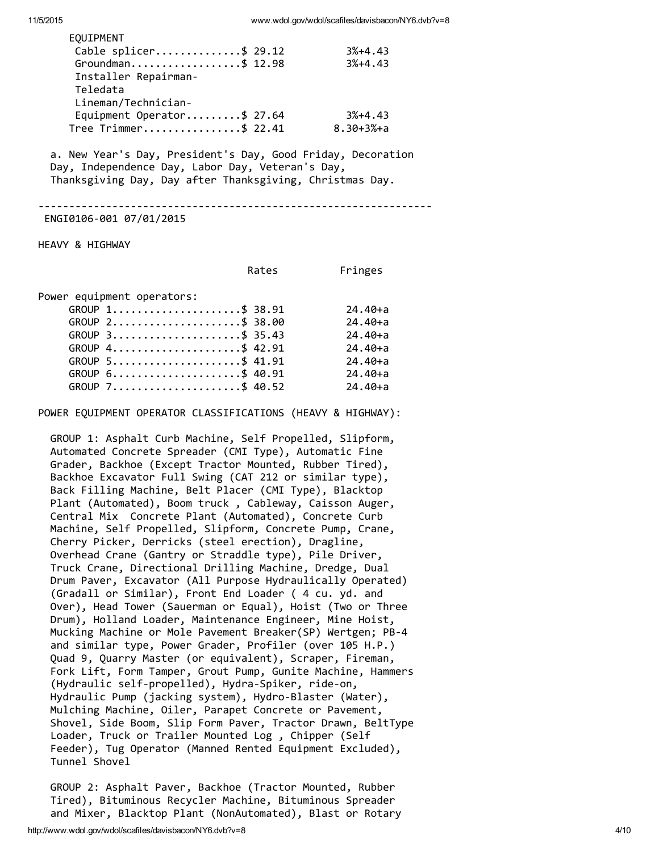| EOUIPMENT                                                                                                                                                                                                                 |                                             |             |
|---------------------------------------------------------------------------------------------------------------------------------------------------------------------------------------------------------------------------|---------------------------------------------|-------------|
| Cable splicer\$ 29.12                                                                                                                                                                                                     |                                             | $3% + 4.43$ |
| Groundman\$ 12.98                                                                                                                                                                                                         |                                             | $3%+4.43$   |
| Installer Repairman-                                                                                                                                                                                                      |                                             |             |
| Teledata                                                                                                                                                                                                                  |                                             |             |
| Lineman/Technician-                                                                                                                                                                                                       |                                             |             |
| Equipment Operator\$ 27.64                                                                                                                                                                                                |                                             | 3%+4.43     |
| Tree Trimmer\$ 22.41 8.30+3%+a                                                                                                                                                                                            |                                             |             |
| a. New Year's Day, President's Day, Good Friday, Decoration<br>Day, Independence Day, Labor Day, Veteran's Day,<br>Thanksgiving Day, Day after Thanksgiving, Christmas Day.<br>ENGI0106-001 07/01/2015<br>HEAVY & HIGHWAY | <u> - - - - - - - - - - - - - - - - - -</u> |             |
|                                                                                                                                                                                                                           |                                             |             |
| Rates                                                                                                                                                                                                                     |                                             | Fringes     |
| Power equipment operators:                                                                                                                                                                                                |                                             |             |
| GROUP 1\$ 38.91                                                                                                                                                                                                           |                                             | $24.40 + a$ |
| $GROUP$ 2\$ 38.00                                                                                                                                                                                                         |                                             | $24.40 + a$ |
| $GROUP$ 3\$ 35.43                                                                                                                                                                                                         |                                             | $24.40 + a$ |
| GROUP 4\$ 42.91                                                                                                                                                                                                           |                                             | $24.40 + a$ |
| GROUP 5\$ 41.91                                                                                                                                                                                                           |                                             | $24.40 + a$ |
| $GROUP 6$ \$ 40.91                                                                                                                                                                                                        |                                             | $24.40 + a$ |
| GROUP 7\$ 40.52                                                                                                                                                                                                           |                                             | $24.40 + a$ |
| POWER EQUIPMENT OPERATOR CLASSIFICATIONS (HEAVY & HIGHWAY):                                                                                                                                                               |                                             |             |

GROUP 1: Asphalt Curb Machine, Self Propelled, Slipform, Automated Concrete Spreader (CMI Type), Automatic Fine Grader, Backhoe (Except Tractor Mounted, Rubber Tired), Backhoe Excavator Full Swing (CAT 212 or similar type), Back Filling Machine, Belt Placer (CMI Type), Blacktop Plant (Automated), Boom truck , Cableway, Caisson Auger, Central Mix Concrete Plant (Automated), Concrete Curb Machine, Self Propelled, Slipform, Concrete Pump, Crane, Cherry Picker, Derricks (steel erection), Dragline, Overhead Crane (Gantry or Straddle type), Pile Driver, Truck Crane, Directional Drilling Machine, Dredge, Dual Drum Paver, Excavator (All Purpose Hydraulically Operated) (Gradall or Similar), Front End Loader ( 4 cu. yd. and Over), Head Tower (Sauerman or Equal), Hoist (Two or Three Drum), Holland Loader, Maintenance Engineer, Mine Hoist, Mucking Machine or Mole Pavement Breaker(SP) Wertgen; PB‐4 and similar type, Power Grader, Profiler (over 105 H.P.) Quad 9, Quarry Master (or equivalent), Scraper, Fireman, Fork Lift, Form Tamper, Grout Pump, Gunite Machine, Hammers (Hydraulic self‐propelled), Hydra‐Spiker, ride‐on, Hydraulic Pump (jacking system), Hydro‐Blaster (Water), Mulching Machine, Oiler, Parapet Concrete or Pavement, Shovel, Side Boom, Slip Form Paver, Tractor Drawn, BeltType Loader, Truck or Trailer Mounted Log , Chipper (Self Feeder), Tug Operator (Manned Rented Equipment Excluded), Tunnel Shovel

GROUP 2: Asphalt Paver, Backhoe (Tractor Mounted, Rubber Tired), Bituminous Recycler Machine, Bituminous Spreader and Mixer, Blacktop Plant (NonAutomated), Blast or Rotary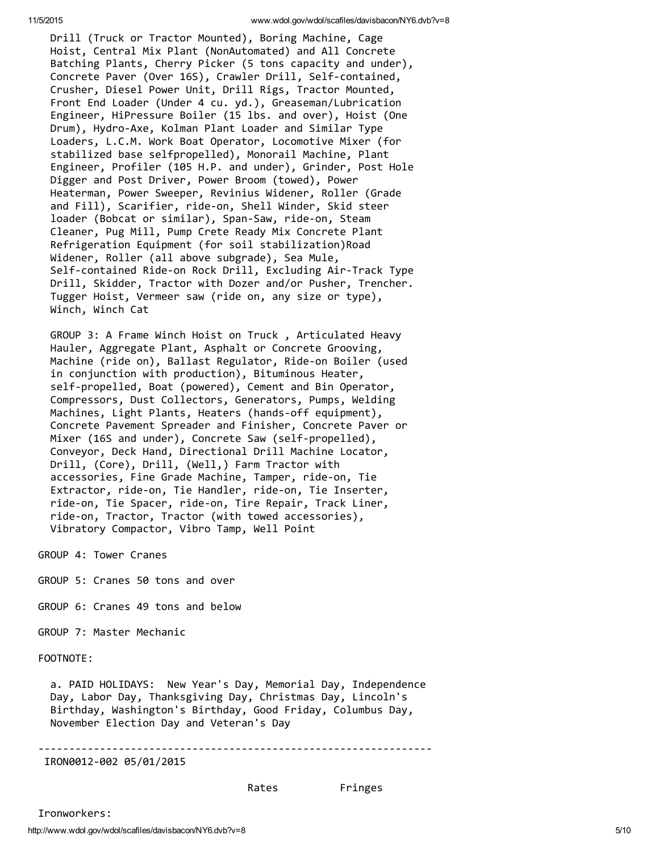Drill (Truck or Tractor Mounted), Boring Machine, Cage Hoist, Central Mix Plant (NonAutomated) and All Concrete Batching Plants, Cherry Picker (5 tons capacity and under), Concrete Paver (Over 16S), Crawler Drill, Self‐contained, Crusher, Diesel Power Unit, Drill Rigs, Tractor Mounted, Front End Loader (Under 4 cu. yd.), Greaseman/Lubrication Engineer, HiPressure Boiler (15 lbs. and over), Hoist (One Drum), Hydro‐Axe, Kolman Plant Loader and Similar Type Loaders, L.C.M. Work Boat Operator, Locomotive Mixer (for stabilized base selfpropelled), Monorail Machine, Plant Engineer, Profiler (105 H.P. and under), Grinder, Post Hole Digger and Post Driver, Power Broom (towed), Power Heaterman, Power Sweeper, Revinius Widener, Roller (Grade and Fill), Scarifier, ride‐on, Shell Winder, Skid steer loader (Bobcat or similar), Span‐Saw, ride‐on, Steam Cleaner, Pug Mill, Pump Crete Ready Mix Concrete Plant Refrigeration Equipment (for soil stabilization)Road Widener, Roller (all above subgrade), Sea Mule, Self‐contained Ride‐on Rock Drill, Excluding Air‐Track Type Drill, Skidder, Tractor with Dozer and/or Pusher, Trencher. Tugger Hoist, Vermeer saw (ride on, any size or type), Winch, Winch Cat

GROUP 3: A Frame Winch Hoist on Truck , Articulated Heavy Hauler, Aggregate Plant, Asphalt or Concrete Grooving, Machine (ride on), Ballast Regulator, Ride‐on Boiler (used in conjunction with production), Bituminous Heater, self-propelled, Boat (powered), Cement and Bin Operator, Compressors, Dust Collectors, Generators, Pumps, Welding Machines, Light Plants, Heaters (hands‐off equipment), Concrete Pavement Spreader and Finisher, Concrete Paver or Mixer (16S and under), Concrete Saw (self-propelled), Conveyor, Deck Hand, Directional Drill Machine Locator, Drill, (Core), Drill, (Well,) Farm Tractor with accessories, Fine Grade Machine, Tamper, ride‐on, Tie Extractor, ride‐on, Tie Handler, ride‐on, Tie Inserter, ride‐on, Tie Spacer, ride‐on, Tire Repair, Track Liner, ride‐on, Tractor, Tractor (with towed accessories), Vibratory Compactor, Vibro Tamp, Well Point

GROUP 4: Tower Cranes

GROUP 5: Cranes 50 tons and over

GROUP 6: Cranes 49 tons and below

GROUP 7: Master Mechanic

FOOTNOTE:

Ironworkers:

a. PAID HOLIDAYS: New Year's Day, Memorial Day, Independence Day, Labor Day, Thanksgiving Day, Christmas Day, Lincoln's Birthday, Washington's Birthday, Good Friday, Columbus Day, November Election Day and Veteran's Day

‐‐‐‐‐‐‐‐‐‐‐‐‐‐‐‐‐‐‐‐‐‐‐‐‐‐‐‐‐‐‐‐‐‐‐‐‐‐‐‐‐‐‐‐‐‐‐‐‐‐‐‐‐‐‐‐‐‐‐‐‐‐‐‐

IRON0012‐002 05/01/2015

Rates Fringes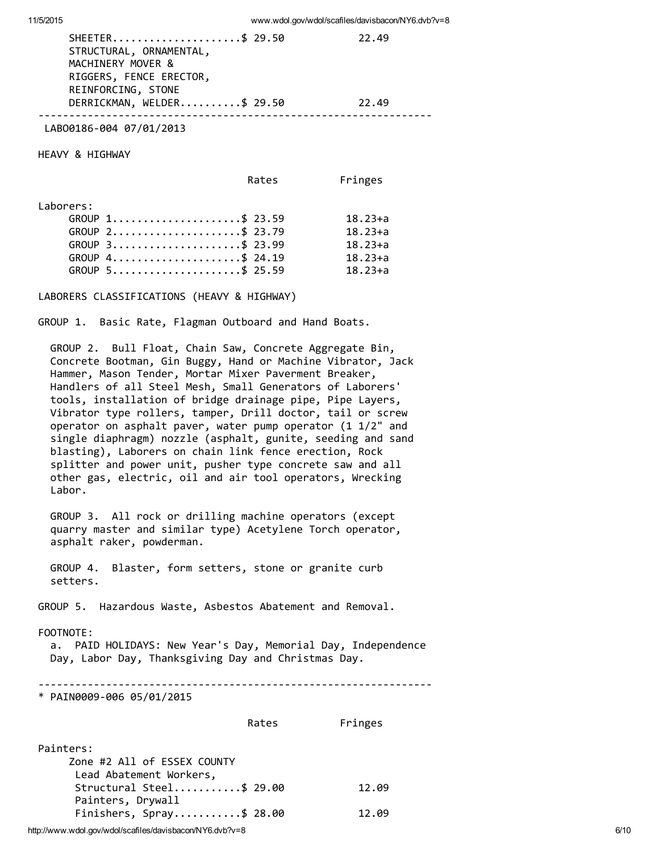#### LABO0186‐004 07/01/2013

HEAVY & HIGHWAY

|           | Rates           | Fringes     |
|-----------|-----------------|-------------|
| Laborers: |                 |             |
|           | GROUP 1\$ 23.59 | $18.23 + a$ |
|           | GROUP 2\$ 23.79 | $18.23 + a$ |
|           | GROUP 3\$ 23.99 | $18.23 + a$ |
|           | GROUP 4\$ 24.19 | $18.23 + a$ |
|           | GROUP 5\$ 25.59 | $18.23 + a$ |

LABORERS CLASSIFICATIONS (HEAVY & HIGHWAY)

GROUP 1. Basic Rate, Flagman Outboard and Hand Boats.

GROUP 2. Bull Float, Chain Saw, Concrete Aggregate Bin, Concrete Bootman, Gin Buggy, Hand or Machine Vibrator, Jack Hammer, Mason Tender, Mortar Mixer Paverment Breaker, Handlers of all Steel Mesh, Small Generators of Laborers' tools, installation of bridge drainage pipe, Pipe Layers, Vibrator type rollers, tamper, Drill doctor, tail or screw operator on asphalt paver, water pump operator (1 1/2" and single diaphragm) nozzle (asphalt, gunite, seeding and sand blasting), Laborers on chain link fence erection, Rock splitter and power unit, pusher type concrete saw and all other gas, electric, oil and air tool operators, Wrecking Labor.

GROUP 3. All rock or drilling machine operators (except quarry master and similar type) Acetylene Torch operator, asphalt raker, powderman.

GROUP 4. Blaster, form setters, stone or granite curb setters.

GROUP 5. Hazardous Waste, Asbestos Abatement and Removal.

#### FOOTNOTE:

a. PAID HOLIDAYS: New Year's Day, Memorial Day, Independence Day, Labor Day, Thanksgiving Day and Christmas Day.

‐‐‐‐‐‐‐‐‐‐‐‐‐‐‐‐‐‐‐‐‐‐‐‐‐‐‐‐‐‐‐‐‐‐‐‐‐‐‐‐‐‐‐‐‐‐‐‐‐‐‐‐‐‐‐‐‐‐‐‐‐‐‐‐

\* PAIN0009‐006 05/01/2015

|                                                                     | Rates | Fringes |
|---------------------------------------------------------------------|-------|---------|
| Painters:<br>Zone #2 All of ESSEX COUNTY<br>Lead Abatement Workers, |       |         |
| Structural Steel\$ 29.00<br>Painters, Drywall                       |       | 12.09   |
| Finishers, Spray\$ 28.00                                            |       | 12.09   |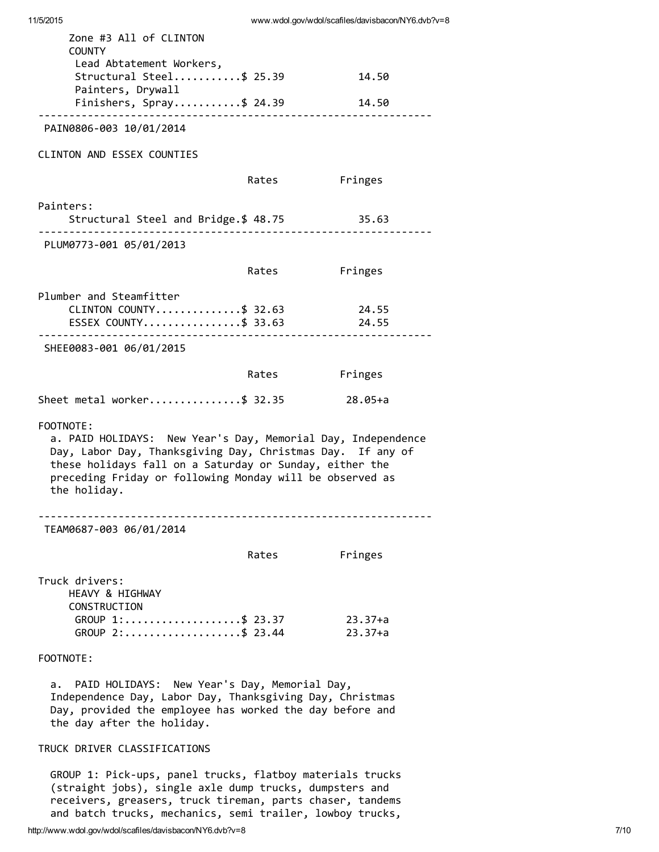| Zone #3 All of CLINTON<br><b>COUNTY</b>                                                                                                                                                                                                                                        |       |                        |  |  |
|--------------------------------------------------------------------------------------------------------------------------------------------------------------------------------------------------------------------------------------------------------------------------------|-------|------------------------|--|--|
| Lead Abtatement Workers,<br>Structural Steel\$ 25.39<br>Painters, Drywall                                                                                                                                                                                                      |       | 14.50                  |  |  |
| Finishers, Spray\$ 24.39                                                                                                                                                                                                                                                       |       | 14.50                  |  |  |
| PAIN0806-003 10/01/2014                                                                                                                                                                                                                                                        |       |                        |  |  |
| <b>CLINTON AND ESSEX COUNTIES</b>                                                                                                                                                                                                                                              |       |                        |  |  |
|                                                                                                                                                                                                                                                                                | Rates | Fringes                |  |  |
| Painters:<br>Structural Steel and Bridge.\$ 48.75                                                                                                                                                                                                                              |       | 35.63                  |  |  |
| PLUM0773-001 05/01/2013                                                                                                                                                                                                                                                        |       |                        |  |  |
|                                                                                                                                                                                                                                                                                | Rates | Fringes                |  |  |
| Plumber and Steamfitter<br>CLINTON COUNTY\$ 32.63<br>ESSEX COUNTY\$ 33.63                                                                                                                                                                                                      |       | 24.55<br>24.55         |  |  |
| SHEE0083-001 06/01/2015                                                                                                                                                                                                                                                        |       |                        |  |  |
|                                                                                                                                                                                                                                                                                | Rates | Fringes                |  |  |
| Sheet metal worker\$ 32.35                                                                                                                                                                                                                                                     |       | 28.05+a                |  |  |
| FOOTNOTE:<br>a. PAID HOLIDAYS: New Year's Day, Memorial Day, Independence<br>Day, Labor Day, Thanksgiving Day, Christmas Day. If any of<br>these holidays fall on a Saturday or Sunday, either the<br>preceding Friday or following Monday will be observed as<br>the holiday. |       |                        |  |  |
| TEAM0687-003 06/01/2014                                                                                                                                                                                                                                                        |       |                        |  |  |
|                                                                                                                                                                                                                                                                                | Rates | Fringes                |  |  |
| Truck drivers:<br>HEAVY & HIGHWAY<br>CONSTRUCTION<br>GROUP 1:\$ 23.37<br>$GROUP$ 2:\$ 23.44                                                                                                                                                                                    |       | $23.37+a$<br>$23.37+a$ |  |  |
| FOOTNOTE:                                                                                                                                                                                                                                                                      |       |                        |  |  |
| PAID HOLIDAYS: New Year's Day, Memorial Day,<br>а.<br>Independence Day, Labor Day, Thanksgiving Day, Christmas<br>Day, provided the employee has worked the day before and                                                                                                     |       |                        |  |  |

#### TRUCK DRIVER CLASSIFICATIONS

the day after the holiday.

GROUP 1: Pick‐ups, panel trucks, flatboy materials trucks (straight jobs), single axle dump trucks, dumpsters and receivers, greasers, truck tireman, parts chaser, tandems and batch trucks, mechanics, semi trailer, lowboy trucks,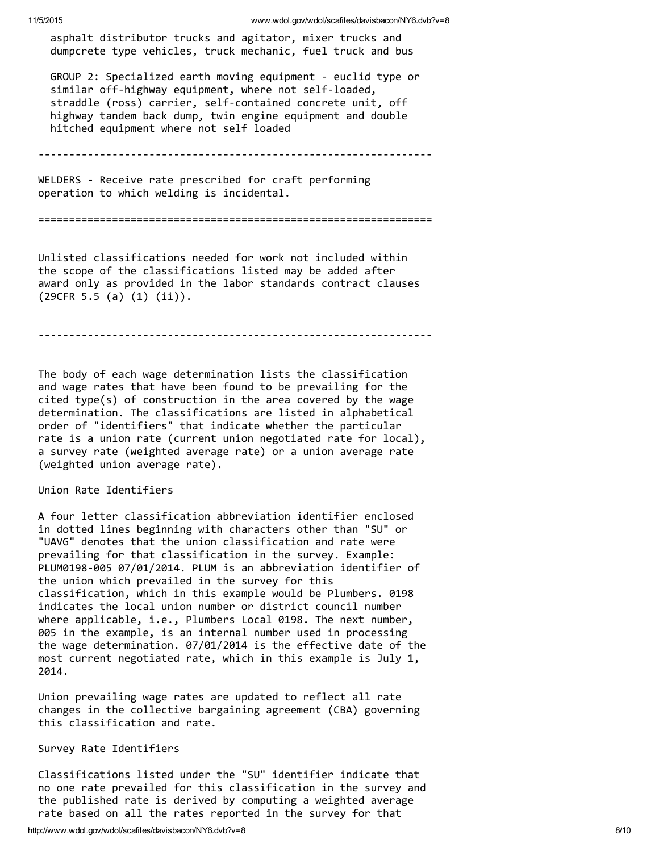asphalt distributor trucks and agitator, mixer trucks and dumpcrete type vehicles, truck mechanic, fuel truck and bus

GROUP 2: Specialized earth moving equipment ‐ euclid type or similar off-highway equipment, where not self-loaded, straddle (ross) carrier, self-contained concrete unit, off highway tandem back dump, twin engine equipment and double hitched equipment where not self loaded

‐‐‐‐‐‐‐‐‐‐‐‐‐‐‐‐‐‐‐‐‐‐‐‐‐‐‐‐‐‐‐‐‐‐‐‐‐‐‐‐‐‐‐‐‐‐‐‐‐‐‐‐‐‐‐‐‐‐‐‐‐‐‐‐

WELDERS ‐ Receive rate prescribed for craft performing operation to which welding is incidental.

================================================================

Unlisted classifications needed for work not included within the scope of the classifications listed may be added after award only as provided in the labor standards contract clauses (29CFR 5.5 (a) (1) (ii)).

‐‐‐‐‐‐‐‐‐‐‐‐‐‐‐‐‐‐‐‐‐‐‐‐‐‐‐‐‐‐‐‐‐‐‐‐‐‐‐‐‐‐‐‐‐‐‐‐‐‐‐‐‐‐‐‐‐‐‐‐‐‐‐‐

The body of each wage determination lists the classification and wage rates that have been found to be prevailing for the cited type(s) of construction in the area covered by the wage determination. The classifications are listed in alphabetical order of "identifiers" that indicate whether the particular rate is a union rate (current union negotiated rate for local), a survey rate (weighted average rate) or a union average rate (weighted union average rate).

#### Union Rate Identifiers

A four letter classification abbreviation identifier enclosed in dotted lines beginning with characters other than "SU" or "UAVG" denotes that the union classification and rate were prevailing for that classification in the survey. Example: PLUM0198‐005 07/01/2014. PLUM is an abbreviation identifier of the union which prevailed in the survey for this classification, which in this example would be Plumbers. 0198 indicates the local union number or district council number where applicable, i.e., Plumbers Local 0198. The next number, 005 in the example, is an internal number used in processing the wage determination. 07/01/2014 is the effective date of the most current negotiated rate, which in this example is July 1, 2014.

Union prevailing wage rates are updated to reflect all rate changes in the collective bargaining agreement (CBA) governing this classification and rate.

#### Survey Rate Identifiers

Classifications listed under the "SU" identifier indicate that no one rate prevailed for this classification in the survey and the published rate is derived by computing a weighted average rate based on all the rates reported in the survey for that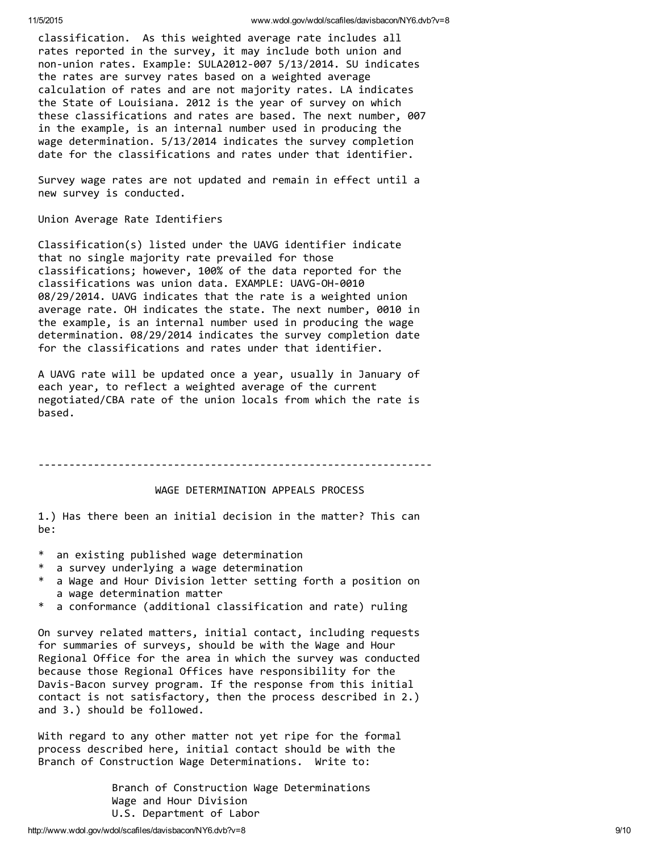classification. As this weighted average rate includes all rates reported in the survey, it may include both union and non‐union rates. Example: SULA2012‐007 5/13/2014. SU indicates the rates are survey rates based on a weighted average calculation of rates and are not majority rates. LA indicates the State of Louisiana. 2012 is the year of survey on which these classifications and rates are based. The next number, 007 in the example, is an internal number used in producing the wage determination. 5/13/2014 indicates the survey completion date for the classifications and rates under that identifier.

Survey wage rates are not updated and remain in effect until a new survey is conducted.

Union Average Rate Identifiers

Classification(s) listed under the UAVG identifier indicate that no single majority rate prevailed for those classifications; however, 100% of the data reported for the classifications was union data. EXAMPLE: UAVG‐OH‐0010 08/29/2014. UAVG indicates that the rate is a weighted union average rate. OH indicates the state. The next number, 0010 in the example, is an internal number used in producing the wage determination. 08/29/2014 indicates the survey completion date for the classifications and rates under that identifier.

A UAVG rate will be updated once a year, usually in January of each year, to reflect a weighted average of the current negotiated/CBA rate of the union locals from which the rate is based.

‐‐‐‐‐‐‐‐‐‐‐‐‐‐‐‐‐‐‐‐‐‐‐‐‐‐‐‐‐‐‐‐‐‐‐‐‐‐‐‐‐‐‐‐‐‐‐‐‐‐‐‐‐‐‐‐‐‐‐‐‐‐‐‐

#### WAGE DETERMINATION APPEALS PROCESS

1.) Has there been an initial decision in the matter? This can be:

- \* an existing published wage determination
- \* a survey underlying a wage determination
- \* a Wage and Hour Division letter setting forth a position on a wage determination matter
- \* a conformance (additional classification and rate) ruling

On survey related matters, initial contact, including requests for summaries of surveys, should be with the Wage and Hour Regional Office for the area in which the survey was conducted because those Regional Offices have responsibility for the Davis‐Bacon survey program. If the response from this initial contact is not satisfactory, then the process described in 2.) and 3.) should be followed.

With regard to any other matter not yet ripe for the formal process described here, initial contact should be with the Branch of Construction Wage Determinations. Write to:

> Branch of Construction Wage Determinations Wage and Hour Division U.S. Department of Labor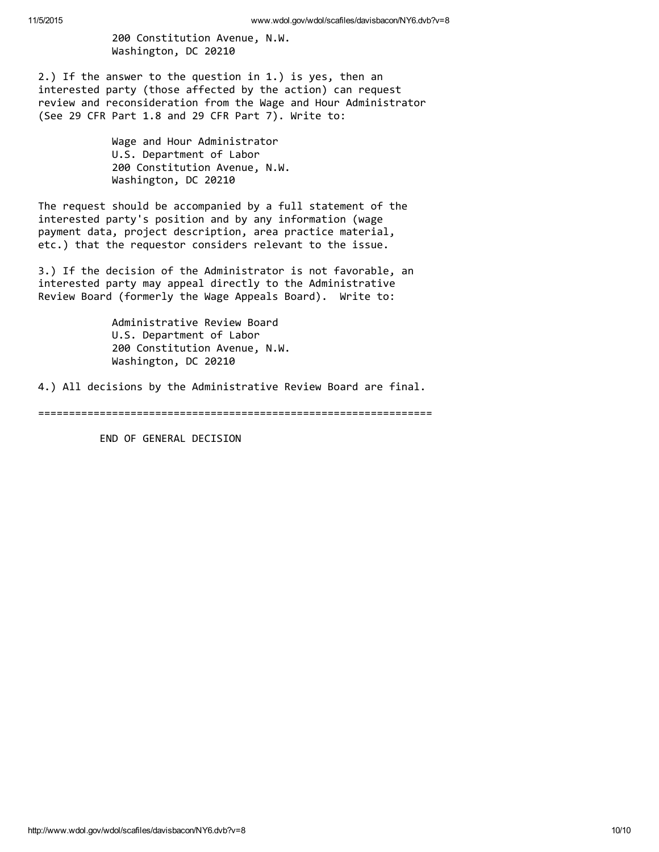200 Constitution Avenue, N.W. Washington, DC 20210

2.) If the answer to the question in 1.) is yes, then an interested party (those affected by the action) can request review and reconsideration from the Wage and Hour Administrator (See 29 CFR Part 1.8 and 29 CFR Part 7). Write to:

> Wage and Hour Administrator U.S. Department of Labor 200 Constitution Avenue, N.W. Washington, DC 20210

The request should be accompanied by a full statement of the interested party's position and by any information (wage payment data, project description, area practice material, etc.) that the requestor considers relevant to the issue.

3.) If the decision of the Administrator is not favorable, an interested party may appeal directly to the Administrative Review Board (formerly the Wage Appeals Board). Write to:

> Administrative Review Board U.S. Department of Labor 200 Constitution Avenue, N.W. Washington, DC 20210

4.) All decisions by the Administrative Review Board are final.

================================================================

END OF GENERAL DECISION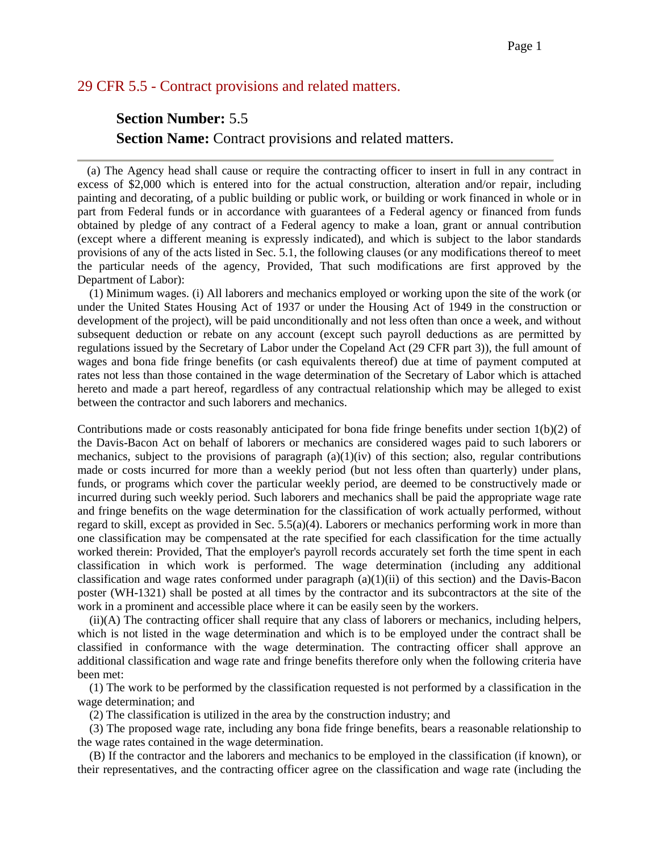## 29 CFR 5.5 - Contract provisions and related matters.

# **Section Number:** 5.5 **Section Name:** Contract provisions and related matters.

 (a) The Agency head shall cause or require the contracting officer to insert in full in any contract in excess of \$2,000 which is entered into for the actual construction, alteration and/or repair, including painting and decorating, of a public building or public work, or building or work financed in whole or in part from Federal funds or in accordance with guarantees of a Federal agency or financed from funds obtained by pledge of any contract of a Federal agency to make a loan, grant or annual contribution (except where a different meaning is expressly indicated), and which is subject to the labor standards provisions of any of the acts listed in Sec. 5.1, the following clauses (or any modifications thereof to meet the particular needs of the agency, Provided, That such modifications are first approved by the Department of Labor):

 (1) Minimum wages. (i) All laborers and mechanics employed or working upon the site of the work (or under the United States Housing Act of 1937 or under the Housing Act of 1949 in the construction or development of the project), will be paid unconditionally and not less often than once a week, and without subsequent deduction or rebate on any account (except such payroll deductions as are permitted by regulations issued by the Secretary of Labor under the Copeland Act (29 CFR part 3)), the full amount of wages and bona fide fringe benefits (or cash equivalents thereof) due at time of payment computed at rates not less than those contained in the wage determination of the Secretary of Labor which is attached hereto and made a part hereof, regardless of any contractual relationship which may be alleged to exist between the contractor and such laborers and mechanics.

Contributions made or costs reasonably anticipated for bona fide fringe benefits under section 1(b)(2) of the Davis-Bacon Act on behalf of laborers or mechanics are considered wages paid to such laborers or mechanics, subject to the provisions of paragraph  $(a)(1)(iv)$  of this section; also, regular contributions made or costs incurred for more than a weekly period (but not less often than quarterly) under plans, funds, or programs which cover the particular weekly period, are deemed to be constructively made or incurred during such weekly period. Such laborers and mechanics shall be paid the appropriate wage rate and fringe benefits on the wage determination for the classification of work actually performed, without regard to skill, except as provided in Sec. 5.5(a)(4). Laborers or mechanics performing work in more than one classification may be compensated at the rate specified for each classification for the time actually worked therein: Provided, That the employer's payroll records accurately set forth the time spent in each classification in which work is performed. The wage determination (including any additional classification and wage rates conformed under paragraph  $(a)(1)(ii)$  of this section) and the Davis-Bacon poster (WH-1321) shall be posted at all times by the contractor and its subcontractors at the site of the work in a prominent and accessible place where it can be easily seen by the workers.

 (ii)(A) The contracting officer shall require that any class of laborers or mechanics, including helpers, which is not listed in the wage determination and which is to be employed under the contract shall be classified in conformance with the wage determination. The contracting officer shall approve an additional classification and wage rate and fringe benefits therefore only when the following criteria have been met:

 (1) The work to be performed by the classification requested is not performed by a classification in the wage determination; and

(2) The classification is utilized in the area by the construction industry; and

 (3) The proposed wage rate, including any bona fide fringe benefits, bears a reasonable relationship to the wage rates contained in the wage determination.

 (B) If the contractor and the laborers and mechanics to be employed in the classification (if known), or their representatives, and the contracting officer agree on the classification and wage rate (including the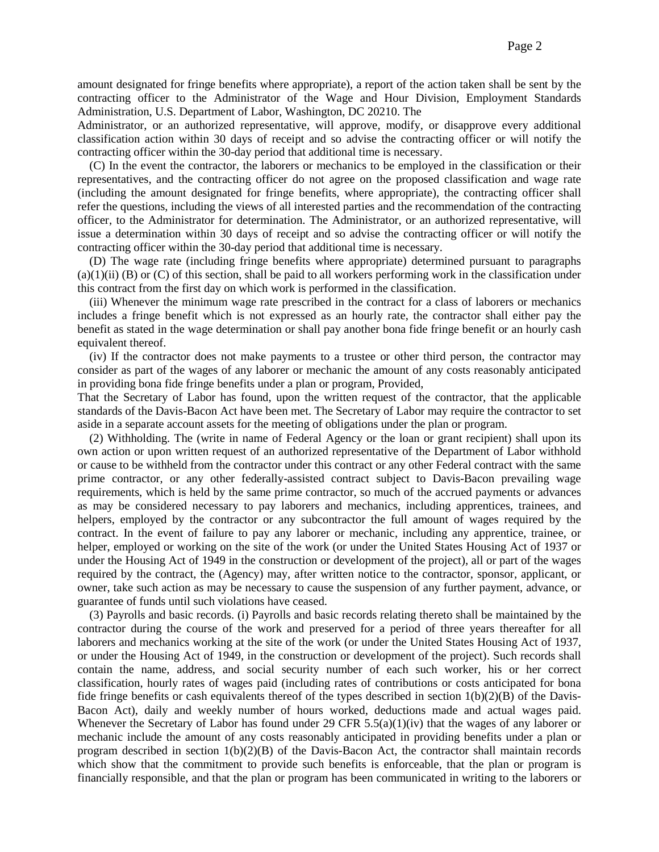amount designated for fringe benefits where appropriate), a report of the action taken shall be sent by the contracting officer to the Administrator of the Wage and Hour Division, Employment Standards Administration, U.S. Department of Labor, Washington, DC 20210. The

Administrator, or an authorized representative, will approve, modify, or disapprove every additional classification action within 30 days of receipt and so advise the contracting officer or will notify the contracting officer within the 30-day period that additional time is necessary.

 (C) In the event the contractor, the laborers or mechanics to be employed in the classification or their representatives, and the contracting officer do not agree on the proposed classification and wage rate (including the amount designated for fringe benefits, where appropriate), the contracting officer shall refer the questions, including the views of all interested parties and the recommendation of the contracting officer, to the Administrator for determination. The Administrator, or an authorized representative, will issue a determination within 30 days of receipt and so advise the contracting officer or will notify the contracting officer within the 30-day period that additional time is necessary.

 (D) The wage rate (including fringe benefits where appropriate) determined pursuant to paragraphs  $(a)(1)(ii)$  (B) or (C) of this section, shall be paid to all workers performing work in the classification under this contract from the first day on which work is performed in the classification.

 (iii) Whenever the minimum wage rate prescribed in the contract for a class of laborers or mechanics includes a fringe benefit which is not expressed as an hourly rate, the contractor shall either pay the benefit as stated in the wage determination or shall pay another bona fide fringe benefit or an hourly cash equivalent thereof.

 (iv) If the contractor does not make payments to a trustee or other third person, the contractor may consider as part of the wages of any laborer or mechanic the amount of any costs reasonably anticipated in providing bona fide fringe benefits under a plan or program, Provided,

That the Secretary of Labor has found, upon the written request of the contractor, that the applicable standards of the Davis-Bacon Act have been met. The Secretary of Labor may require the contractor to set aside in a separate account assets for the meeting of obligations under the plan or program.

 (2) Withholding. The (write in name of Federal Agency or the loan or grant recipient) shall upon its own action or upon written request of an authorized representative of the Department of Labor withhold or cause to be withheld from the contractor under this contract or any other Federal contract with the same prime contractor, or any other federally-assisted contract subject to Davis-Bacon prevailing wage requirements, which is held by the same prime contractor, so much of the accrued payments or advances as may be considered necessary to pay laborers and mechanics, including apprentices, trainees, and helpers, employed by the contractor or any subcontractor the full amount of wages required by the contract. In the event of failure to pay any laborer or mechanic, including any apprentice, trainee, or helper, employed or working on the site of the work (or under the United States Housing Act of 1937 or under the Housing Act of 1949 in the construction or development of the project), all or part of the wages required by the contract, the (Agency) may, after written notice to the contractor, sponsor, applicant, or owner, take such action as may be necessary to cause the suspension of any further payment, advance, or guarantee of funds until such violations have ceased.

 (3) Payrolls and basic records. (i) Payrolls and basic records relating thereto shall be maintained by the contractor during the course of the work and preserved for a period of three years thereafter for all laborers and mechanics working at the site of the work (or under the United States Housing Act of 1937, or under the Housing Act of 1949, in the construction or development of the project). Such records shall contain the name, address, and social security number of each such worker, his or her correct classification, hourly rates of wages paid (including rates of contributions or costs anticipated for bona fide fringe benefits or cash equivalents thereof of the types described in section  $1(b)(2)(B)$  of the Davis-Bacon Act), daily and weekly number of hours worked, deductions made and actual wages paid. Whenever the Secretary of Labor has found under 29 CFR  $5.5(a)(1)(iv)$  that the wages of any laborer or mechanic include the amount of any costs reasonably anticipated in providing benefits under a plan or program described in section 1(b)(2)(B) of the Davis-Bacon Act, the contractor shall maintain records which show that the commitment to provide such benefits is enforceable, that the plan or program is financially responsible, and that the plan or program has been communicated in writing to the laborers or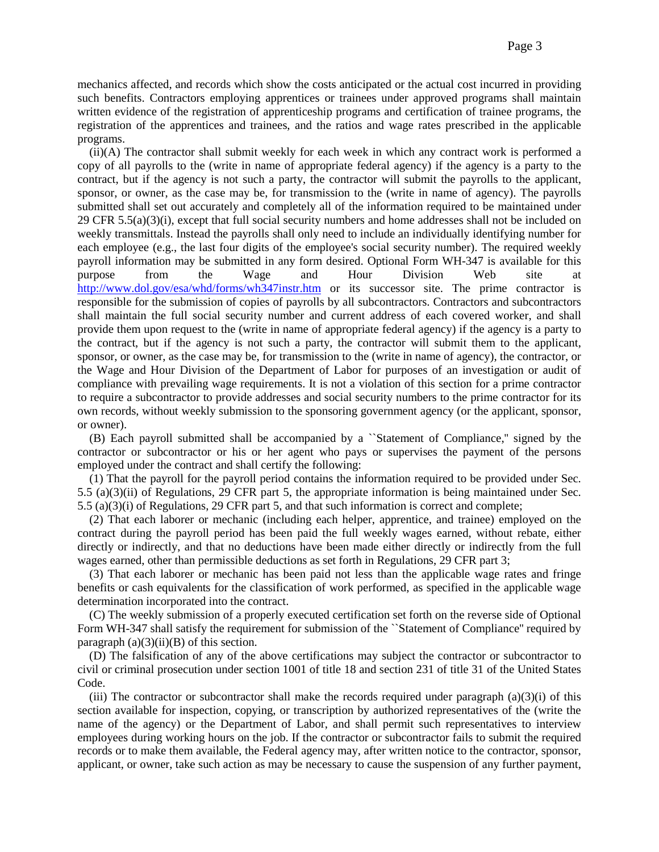mechanics affected, and records which show the costs anticipated or the actual cost incurred in providing such benefits. Contractors employing apprentices or trainees under approved programs shall maintain written evidence of the registration of apprenticeship programs and certification of trainee programs, the registration of the apprentices and trainees, and the ratios and wage rates prescribed in the applicable programs.

 (ii)(A) The contractor shall submit weekly for each week in which any contract work is performed a copy of all payrolls to the (write in name of appropriate federal agency) if the agency is a party to the contract, but if the agency is not such a party, the contractor will submit the payrolls to the applicant, sponsor, or owner, as the case may be, for transmission to the (write in name of agency). The payrolls submitted shall set out accurately and completely all of the information required to be maintained under 29 CFR 5.5(a)(3)(i), except that full social security numbers and home addresses shall not be included on weekly transmittals. Instead the payrolls shall only need to include an individually identifying number for each employee (e.g., the last four digits of the employee's social security number). The required weekly payroll information may be submitted in any form desired. Optional Form WH-347 is available for this purpose from the Wage and Hour Division Web site at <http://www.dol.gov/esa/whd/forms/wh347instr.htm> or its successor site. The prime contractor is responsible for the submission of copies of payrolls by all subcontractors. Contractors and subcontractors shall maintain the full social security number and current address of each covered worker, and shall provide them upon request to the (write in name of appropriate federal agency) if the agency is a party to the contract, but if the agency is not such a party, the contractor will submit them to the applicant, sponsor, or owner, as the case may be, for transmission to the (write in name of agency), the contractor, or the Wage and Hour Division of the Department of Labor for purposes of an investigation or audit of compliance with prevailing wage requirements. It is not a violation of this section for a prime contractor to require a subcontractor to provide addresses and social security numbers to the prime contractor for its own records, without weekly submission to the sponsoring government agency (or the applicant, sponsor, or owner).

 (B) Each payroll submitted shall be accompanied by a ``Statement of Compliance,'' signed by the contractor or subcontractor or his or her agent who pays or supervises the payment of the persons employed under the contract and shall certify the following:

 (1) That the payroll for the payroll period contains the information required to be provided under Sec. 5.5 (a)(3)(ii) of Regulations, 29 CFR part 5, the appropriate information is being maintained under Sec. 5.5 (a)(3)(i) of Regulations, 29 CFR part 5, and that such information is correct and complete;

 (2) That each laborer or mechanic (including each helper, apprentice, and trainee) employed on the contract during the payroll period has been paid the full weekly wages earned, without rebate, either directly or indirectly, and that no deductions have been made either directly or indirectly from the full wages earned, other than permissible deductions as set forth in Regulations, 29 CFR part 3;

 (3) That each laborer or mechanic has been paid not less than the applicable wage rates and fringe benefits or cash equivalents for the classification of work performed, as specified in the applicable wage determination incorporated into the contract.

 (C) The weekly submission of a properly executed certification set forth on the reverse side of Optional Form WH-347 shall satisfy the requirement for submission of the ``Statement of Compliance'' required by paragraph  $(a)(3)(ii)(B)$  of this section.

 (D) The falsification of any of the above certifications may subject the contractor or subcontractor to civil or criminal prosecution under section 1001 of title 18 and section 231 of title 31 of the United States Code.

(iii) The contractor or subcontractor shall make the records required under paragraph  $(a)(3)(i)$  of this section available for inspection, copying, or transcription by authorized representatives of the (write the name of the agency) or the Department of Labor, and shall permit such representatives to interview employees during working hours on the job. If the contractor or subcontractor fails to submit the required records or to make them available, the Federal agency may, after written notice to the contractor, sponsor, applicant, or owner, take such action as may be necessary to cause the suspension of any further payment,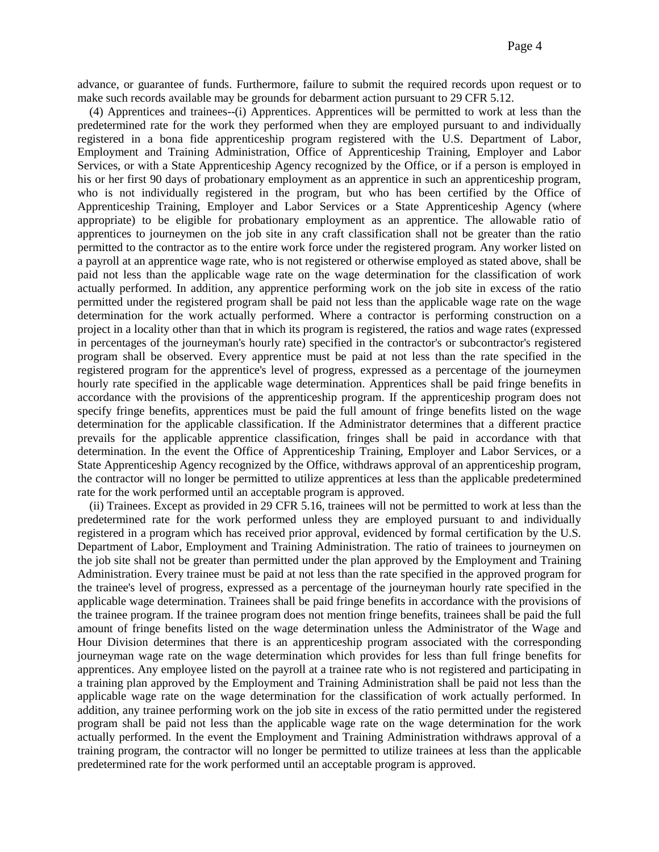advance, or guarantee of funds. Furthermore, failure to submit the required records upon request or to make such records available may be grounds for debarment action pursuant to 29 CFR 5.12.

 (4) Apprentices and trainees--(i) Apprentices. Apprentices will be permitted to work at less than the predetermined rate for the work they performed when they are employed pursuant to and individually registered in a bona fide apprenticeship program registered with the U.S. Department of Labor, Employment and Training Administration, Office of Apprenticeship Training, Employer and Labor Services, or with a State Apprenticeship Agency recognized by the Office, or if a person is employed in his or her first 90 days of probationary employment as an apprentice in such an apprenticeship program, who is not individually registered in the program, but who has been certified by the Office of Apprenticeship Training, Employer and Labor Services or a State Apprenticeship Agency (where appropriate) to be eligible for probationary employment as an apprentice. The allowable ratio of apprentices to journeymen on the job site in any craft classification shall not be greater than the ratio permitted to the contractor as to the entire work force under the registered program. Any worker listed on a payroll at an apprentice wage rate, who is not registered or otherwise employed as stated above, shall be paid not less than the applicable wage rate on the wage determination for the classification of work actually performed. In addition, any apprentice performing work on the job site in excess of the ratio permitted under the registered program shall be paid not less than the applicable wage rate on the wage determination for the work actually performed. Where a contractor is performing construction on a project in a locality other than that in which its program is registered, the ratios and wage rates (expressed in percentages of the journeyman's hourly rate) specified in the contractor's or subcontractor's registered program shall be observed. Every apprentice must be paid at not less than the rate specified in the registered program for the apprentice's level of progress, expressed as a percentage of the journeymen hourly rate specified in the applicable wage determination. Apprentices shall be paid fringe benefits in accordance with the provisions of the apprenticeship program. If the apprenticeship program does not specify fringe benefits, apprentices must be paid the full amount of fringe benefits listed on the wage determination for the applicable classification. If the Administrator determines that a different practice prevails for the applicable apprentice classification, fringes shall be paid in accordance with that determination. In the event the Office of Apprenticeship Training, Employer and Labor Services, or a State Apprenticeship Agency recognized by the Office, withdraws approval of an apprenticeship program, the contractor will no longer be permitted to utilize apprentices at less than the applicable predetermined rate for the work performed until an acceptable program is approved.

 (ii) Trainees. Except as provided in 29 CFR 5.16, trainees will not be permitted to work at less than the predetermined rate for the work performed unless they are employed pursuant to and individually registered in a program which has received prior approval, evidenced by formal certification by the U.S. Department of Labor, Employment and Training Administration. The ratio of trainees to journeymen on the job site shall not be greater than permitted under the plan approved by the Employment and Training Administration. Every trainee must be paid at not less than the rate specified in the approved program for the trainee's level of progress, expressed as a percentage of the journeyman hourly rate specified in the applicable wage determination. Trainees shall be paid fringe benefits in accordance with the provisions of the trainee program. If the trainee program does not mention fringe benefits, trainees shall be paid the full amount of fringe benefits listed on the wage determination unless the Administrator of the Wage and Hour Division determines that there is an apprenticeship program associated with the corresponding journeyman wage rate on the wage determination which provides for less than full fringe benefits for apprentices. Any employee listed on the payroll at a trainee rate who is not registered and participating in a training plan approved by the Employment and Training Administration shall be paid not less than the applicable wage rate on the wage determination for the classification of work actually performed. In addition, any trainee performing work on the job site in excess of the ratio permitted under the registered program shall be paid not less than the applicable wage rate on the wage determination for the work actually performed. In the event the Employment and Training Administration withdraws approval of a training program, the contractor will no longer be permitted to utilize trainees at less than the applicable predetermined rate for the work performed until an acceptable program is approved.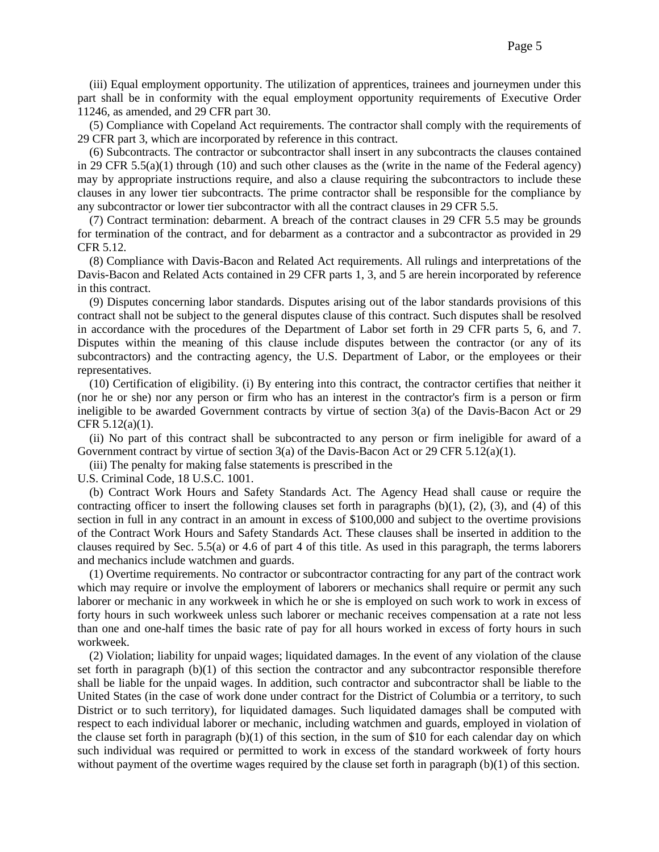(iii) Equal employment opportunity. The utilization of apprentices, trainees and journeymen under this part shall be in conformity with the equal employment opportunity requirements of Executive Order 11246, as amended, and 29 CFR part 30.

 (5) Compliance with Copeland Act requirements. The contractor shall comply with the requirements of 29 CFR part 3, which are incorporated by reference in this contract.

 (6) Subcontracts. The contractor or subcontractor shall insert in any subcontracts the clauses contained in 29 CFR  $5.5(a)(1)$  through (10) and such other clauses as the (write in the name of the Federal agency) may by appropriate instructions require, and also a clause requiring the subcontractors to include these clauses in any lower tier subcontracts. The prime contractor shall be responsible for the compliance by any subcontractor or lower tier subcontractor with all the contract clauses in 29 CFR 5.5.

 (7) Contract termination: debarment. A breach of the contract clauses in 29 CFR 5.5 may be grounds for termination of the contract, and for debarment as a contractor and a subcontractor as provided in 29 CFR 5.12.

 (8) Compliance with Davis-Bacon and Related Act requirements. All rulings and interpretations of the Davis-Bacon and Related Acts contained in 29 CFR parts 1, 3, and 5 are herein incorporated by reference in this contract.

 (9) Disputes concerning labor standards. Disputes arising out of the labor standards provisions of this contract shall not be subject to the general disputes clause of this contract. Such disputes shall be resolved in accordance with the procedures of the Department of Labor set forth in 29 CFR parts 5, 6, and 7. Disputes within the meaning of this clause include disputes between the contractor (or any of its subcontractors) and the contracting agency, the U.S. Department of Labor, or the employees or their representatives.

 (10) Certification of eligibility. (i) By entering into this contract, the contractor certifies that neither it (nor he or she) nor any person or firm who has an interest in the contractor's firm is a person or firm ineligible to be awarded Government contracts by virtue of section 3(a) of the Davis-Bacon Act or 29 CFR 5.12(a)(1).

 (ii) No part of this contract shall be subcontracted to any person or firm ineligible for award of a Government contract by virtue of section  $3(a)$  of the Davis-Bacon Act or 29 CFR 5.12(a)(1).

(iii) The penalty for making false statements is prescribed in the

U.S. Criminal Code, 18 U.S.C. 1001.

 (b) Contract Work Hours and Safety Standards Act. The Agency Head shall cause or require the contracting officer to insert the following clauses set forth in paragraphs  $(b)(1)$ ,  $(2)$ ,  $(3)$ , and  $(4)$  of this section in full in any contract in an amount in excess of \$100,000 and subject to the overtime provisions of the Contract Work Hours and Safety Standards Act. These clauses shall be inserted in addition to the clauses required by Sec. 5.5(a) or 4.6 of part 4 of this title. As used in this paragraph, the terms laborers and mechanics include watchmen and guards.

 (1) Overtime requirements. No contractor or subcontractor contracting for any part of the contract work which may require or involve the employment of laborers or mechanics shall require or permit any such laborer or mechanic in any workweek in which he or she is employed on such work to work in excess of forty hours in such workweek unless such laborer or mechanic receives compensation at a rate not less than one and one-half times the basic rate of pay for all hours worked in excess of forty hours in such workweek.

 (2) Violation; liability for unpaid wages; liquidated damages. In the event of any violation of the clause set forth in paragraph (b)(1) of this section the contractor and any subcontractor responsible therefore shall be liable for the unpaid wages. In addition, such contractor and subcontractor shall be liable to the United States (in the case of work done under contract for the District of Columbia or a territory, to such District or to such territory), for liquidated damages. Such liquidated damages shall be computed with respect to each individual laborer or mechanic, including watchmen and guards, employed in violation of the clause set forth in paragraph (b)(1) of this section, in the sum of \$10 for each calendar day on which such individual was required or permitted to work in excess of the standard workweek of forty hours without payment of the overtime wages required by the clause set forth in paragraph (b)(1) of this section.